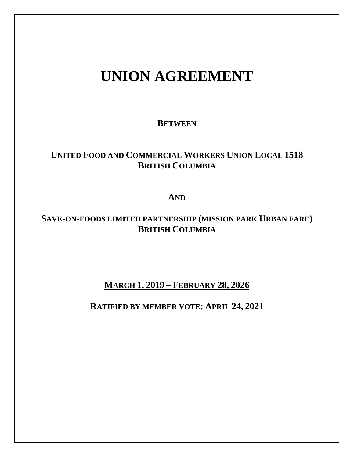# **UNION AGREEMENT**

## **BETWEEN**

## **UNITED FOOD AND COMMERCIAL WORKERS UNION LOCAL 1518 BRITISH COLUMBIA**

## **AND**

## **SAVE-ON-FOODS LIMITED PARTNERSHIP (MISSION PARK URBAN FARE) BRITISH COLUMBIA**

## **MARCH 1, 2019 – FEBRUARY 28, 2026**

## **RATIFIED BY MEMBER VOTE: APRIL 24, 2021**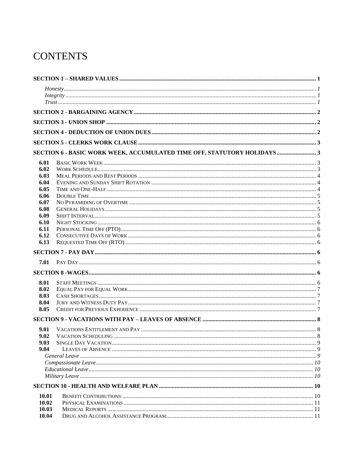## **CONTENTS**

|                | $\frac{1}{1}$                                                           |  |
|----------------|-------------------------------------------------------------------------|--|
|                |                                                                         |  |
|                |                                                                         |  |
|                |                                                                         |  |
|                |                                                                         |  |
|                | SECTION 6 - BASIC WORK WEEK, ACCUMULATED TIME OFF, STATUTORY HOLIDAYS 3 |  |
| 6.01           |                                                                         |  |
| 6.02           |                                                                         |  |
| 6.03           |                                                                         |  |
| 6.04           |                                                                         |  |
| 6.05           |                                                                         |  |
| 6.06           |                                                                         |  |
| 6.07           |                                                                         |  |
| 6.08           |                                                                         |  |
| 6.09           |                                                                         |  |
| 6.10<br>6.11   |                                                                         |  |
| 6.12           |                                                                         |  |
| 6.13           |                                                                         |  |
|                |                                                                         |  |
|                |                                                                         |  |
| 7.01           |                                                                         |  |
|                |                                                                         |  |
| 8.01           |                                                                         |  |
| 8.02           |                                                                         |  |
| 8.03           |                                                                         |  |
| 8.04           |                                                                         |  |
| 8.05           |                                                                         |  |
|                |                                                                         |  |
| 9.01           |                                                                         |  |
| 9.02           |                                                                         |  |
| 9.03           |                                                                         |  |
| 9.04           |                                                                         |  |
|                |                                                                         |  |
|                |                                                                         |  |
|                |                                                                         |  |
|                |                                                                         |  |
|                |                                                                         |  |
| 10.01          |                                                                         |  |
| 10.02          |                                                                         |  |
| 10.03<br>10.04 |                                                                         |  |
|                |                                                                         |  |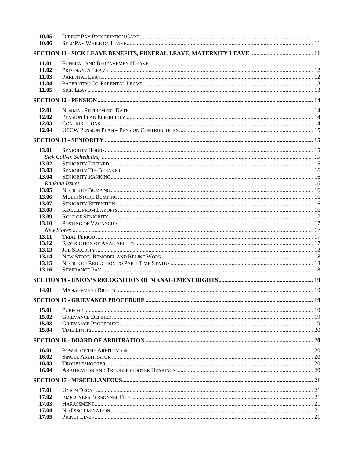| 10.05          |  |
|----------------|--|
| 10.06          |  |
|                |  |
| 11.01          |  |
| 11.02          |  |
| 11.03          |  |
| 11.04          |  |
| 11.05          |  |
|                |  |
| 12.01          |  |
| 12.02          |  |
| 12.03          |  |
| 12.04          |  |
|                |  |
| 13.01          |  |
|                |  |
| 13.02          |  |
|                |  |
| 13.03<br>13.04 |  |
|                |  |
|                |  |
| 13.05          |  |
| 13.06          |  |
| 13.07          |  |
| 13.08          |  |
| 13.09          |  |
| 13.10          |  |
|                |  |
| 13.11          |  |
| 13.12          |  |
| 13.13          |  |
| 13.14          |  |
| 13.15          |  |
| 13.16          |  |
|                |  |
| 14.01          |  |
|                |  |
| 15.01          |  |
| 15.02          |  |
| 15.03          |  |
| 15.04          |  |
|                |  |
| 16.01          |  |
| 16.02          |  |
| 16.03          |  |
| 16.04          |  |
|                |  |
| 17.01          |  |
| 17.02          |  |
| 17.03          |  |
| 17.04          |  |
| 17.05          |  |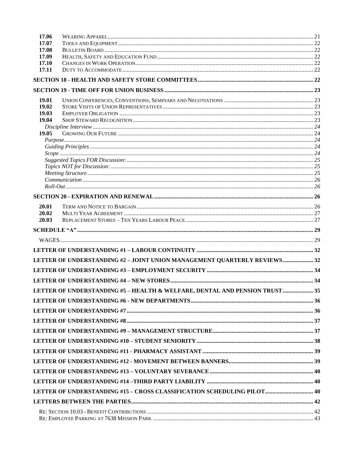| 17.06          |                                                                            |  |
|----------------|----------------------------------------------------------------------------|--|
| 17.07          |                                                                            |  |
| 17.08          |                                                                            |  |
| 17.09<br>17.10 |                                                                            |  |
| 17.11          |                                                                            |  |
|                |                                                                            |  |
|                |                                                                            |  |
| 19.01          |                                                                            |  |
| 19.02          |                                                                            |  |
| 19.03          |                                                                            |  |
| 19.04          |                                                                            |  |
| 19.05          |                                                                            |  |
|                |                                                                            |  |
|                |                                                                            |  |
|                |                                                                            |  |
|                |                                                                            |  |
|                |                                                                            |  |
|                |                                                                            |  |
|                |                                                                            |  |
|                |                                                                            |  |
| 20.01          |                                                                            |  |
| 20.02          |                                                                            |  |
| 20.03          |                                                                            |  |
|                |                                                                            |  |
|                |                                                                            |  |
|                |                                                                            |  |
|                | LETTER OF UNDERSTANDING #2 - JOINT UNION MANAGEMENT QUARTERLY REVIEWS 32   |  |
|                |                                                                            |  |
|                |                                                                            |  |
|                | LETTER OF UNDERSTANDING #5 - HEALTH & WELFARE, DENTAL AND PENSION TRUST 35 |  |
|                |                                                                            |  |
|                |                                                                            |  |
|                |                                                                            |  |
|                |                                                                            |  |
|                |                                                                            |  |
|                |                                                                            |  |
|                |                                                                            |  |
|                |                                                                            |  |
|                |                                                                            |  |
|                | LETTER OF UNDERSTANDING #15 - CROSS CLASSIFICATION SCHEDULING PILOT 40     |  |
|                |                                                                            |  |
|                |                                                                            |  |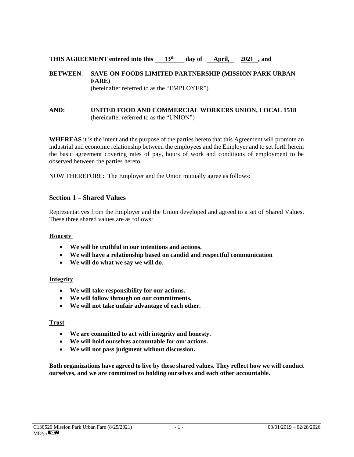#### **THIS AGREEMENT entered into this**  $\frac{13^{th}}{4}$  day of **April, 2021**, and

#### **BETWEEN**: **SAVE-ON-FOODS LIMITED PARTNERSHIP (MISSION PARK URBAN FARE)** (hereinafter referred to as the "EMPLOYER")

#### **AND: UNITED FOOD AND COMMERCIAL WORKERS UNION, LOCAL 1518** (hereinafter referred to as the "UNION")

**WHEREAS** it is the intent and the purpose of the parties hereto that this Agreement will promote an industrial and economic relationship between the employees and the Employer and to set forth herein the basic agreement covering rates of pay, hours of work and conditions of employment to be observed between the parties hereto.

NOW THEREFORE: The Employer and the Union mutually agree as follows:

#### **Section 1 – Shared Values**

Representatives from the Employer and the Union developed and agreed to a set of Shared Values. These three shared values are as follows:

#### **Honesty**

- **We will be truthful in our intentions and actions.**
- **We will have a relationship based on candid and respectful communication**
- **We will do what we say we will do**.

#### **Integrity**

- **We will take responsibility for our actions.**
- **We will follow through on our commitments.**
- **We will not take unfair advantage of each other.**

#### **Trust**

- **We are committed to act with integrity and honesty.**
- **We will hold ourselves accountable for our actions.**
- **We will not pass judgment without discussion.**

**Both organizations have agreed to live by these shared values. They reflect how we will conduct ourselves, and we are committed to holding ourselves and each other accountable.**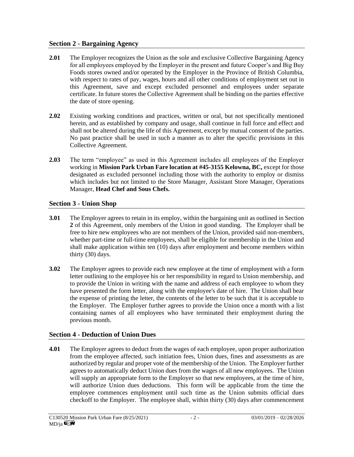#### **Section 2 - Bargaining Agency**

- **2.01** The Employer recognizes the Union as the sole and exclusive Collective Bargaining Agency for all employees employed by the Employer in the present and future Cooper's and Big Buy Foods stores owned and/or operated by the Employer in the Province of British Columbia, with respect to rates of pay, wages, hours and all other conditions of employment set out in this Agreement, save and except excluded personnel and employees under separate certificate. In future stores the Collective Agreement shall be binding on the parties effective the date of store opening.
- **2.02** Existing working conditions and practices, written or oral, but not specifically mentioned herein, and as established by company and usage, shall continue in full force and effect and shall not be altered during the life of this Agreement, except by mutual consent of the parties. No past practice shall be used in such a manner as to alter the specific provisions in this Collective Agreement.
- **2.03** The term "employee" as used in this Agreement includes all employees of the Employer working in **Mission Park Urban Fare location at #45-3155 Kelowna, BC,** except for those designated as excluded personnel including those with the authority to employ or dismiss which includes but not limited to the Store Manager, Assistant Store Manager, Operations Manager, **Head Chef and Sous Chefs.**

## **Section 3 - Union Shop**

- **3.01** The Employer agrees to retain in its employ, within the bargaining unit as outlined in Section **2** of this Agreement, only members of the Union in good standing. The Employer shall be free to hire new employees who are not members of the Union, provided said non-members, whether part-time or full-time employees, shall be eligible for membership in the Union and shall make application within ten (10) days after employment and become members within thirty (30) days.
- **3.02** The Employer agrees to provide each new employee at the time of employment with a form letter outlining to the employee his or her responsibility in regard to Union membership, and to provide the Union in writing with the name and address of each employee to whom they have presented the form letter, along with the employee's date of hire. The Union shall bear the expense of printing the letter, the contents of the letter to be such that it is acceptable to the Employer. The Employer further agrees to provide the Union once a month with a list containing names of all employees who have terminated their employment during the previous month.

## **Section 4 - Deduction of Union Dues**

**4.01** The Employer agrees to deduct from the wages of each employee, upon proper authorization from the employee affected, such initiation fees, Union dues, fines and assessments as are authorized by regular and proper vote of the membership of the Union. The Employer further agrees to automatically deduct Union dues from the wages of all new employees. The Union will supply an appropriate form to the Employer so that new employees, at the time of hire, will authorize Union dues deductions. This form will be applicable from the time the employee commences employment until such time as the Union submits official dues checkoff to the Employer. The employee shall, within thirty (30) days after commencement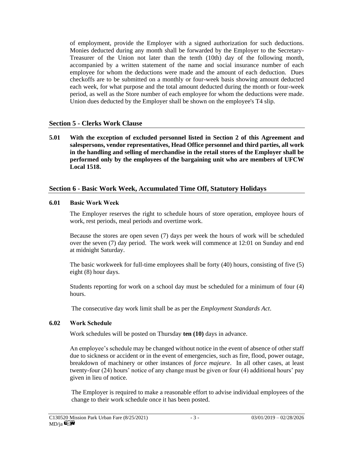of employment, provide the Employer with a signed authorization for such deductions. Monies deducted during any month shall be forwarded by the Employer to the Secretary-Treasurer of the Union not later than the tenth (10th) day of the following month, accompanied by a written statement of the name and social insurance number of each employee for whom the deductions were made and the amount of each deduction. Dues checkoffs are to be submitted on a monthly or four-week basis showing amount deducted each week, for what purpose and the total amount deducted during the month or four-week period, as well as the Store number of each employee for whom the deductions were made. Union dues deducted by the Employer shall be shown on the employee's T4 slip.

#### **Section 5 - Clerks Work Clause**

**5.01 With the exception of excluded personnel listed in Section 2 of this Agreement and salespersons, vendor representatives, Head Office personnel and third parties, all work in the handling and selling of merchandise in the retail stores of the Employer shall be performed only by the employees of the bargaining unit who are members of UFCW Local 1518.**

#### **Section 6 - Basic Work Week, Accumulated Time Off, Statutory Holidays**

#### **6.01 Basic Work Week**

The Employer reserves the right to schedule hours of store operation, employee hours of work, rest periods, meal periods and overtime work.

Because the stores are open seven (7) days per week the hours of work will be scheduled over the seven (7) day period. The work week will commence at 12:01 on Sunday and end at midnight Saturday.

The basic workweek for full-time employees shall be forty (40) hours, consisting of five (5) eight (8) hour days.

Students reporting for work on a school day must be scheduled for a minimum of four (4) hours.

The consecutive day work limit shall be as per the *Employment Standards Act*.

#### **6.02 Work Schedule**

Work schedules will be posted on Thursday **ten (10)** days in advance.

An employee's schedule may be changed without notice in the event of absence of other staff due to sickness or accident or in the event of emergencies, such as fire, flood, power outage, breakdown of machinery or other instances of *force majeure*. In all other cases, at least twenty-four (24) hours' notice of any change must be given or four (4) additional hours' pay given in lieu of notice.

The Employer is required to make a reasonable effort to advise individual employees of the change to their work schedule once it has been posted.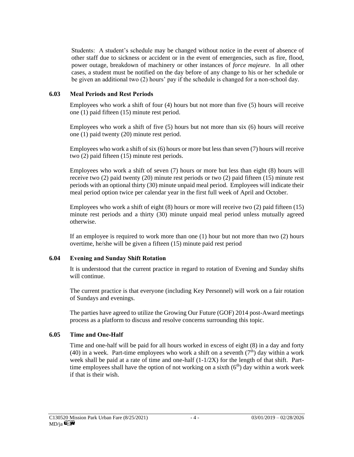Students: A student's schedule may be changed without notice in the event of absence of other staff due to sickness or accident or in the event of emergencies, such as fire, flood, power outage, breakdown of machinery or other instances of *force majeure*. In all other cases, a student must be notified on the day before of any change to his or her schedule or be given an additional two (2) hours' pay if the schedule is changed for a non-school day.

#### **6.03 Meal Periods and Rest Periods**

Employees who work a shift of four (4) hours but not more than five (5) hours will receive one (1) paid fifteen (15) minute rest period.

Employees who work a shift of five (5) hours but not more than six (6) hours will receive one (1) paid twenty (20) minute rest period.

Employees who work a shift of six (6) hours or more but less than seven (7) hours will receive two (2) paid fifteen (15) minute rest periods.

Employees who work a shift of seven (7) hours or more but less than eight (8) hours will receive two (2) paid twenty (20) minute rest periods or two (2) paid fifteen (15) minute rest periods with an optional thirty (30) minute unpaid meal period. Employees will indicate their meal period option twice per calendar year in the first full week of April and October.

Employees who work a shift of eight (8) hours or more will receive two (2) paid fifteen (15) minute rest periods and a thirty (30) minute unpaid meal period unless mutually agreed otherwise.

If an employee is required to work more than one (1) hour but not more than two (2) hours overtime, he/she will be given a fifteen (15) minute paid rest period

#### **6.04 Evening and Sunday Shift Rotation**

It is understood that the current practice in regard to rotation of Evening and Sunday shifts will continue.

The current practice is that everyone (including Key Personnel) will work on a fair rotation of Sundays and evenings.

The parties have agreed to utilize the Growing Our Future (GOF) 2014 post-Award meetings process as a platform to discuss and resolve concerns surrounding this topic.

#### **6.05 Time and One-Half**

Time and one-half will be paid for all hours worked in excess of eight (8) in a day and forty (40) in a week. Part-time employees who work a shift on a seventh ( $7<sup>th</sup>$ ) day within a work week shall be paid at a rate of time and one-half  $(1-1/2X)$  for the length of that shift. Parttime employees shall have the option of not working on a sixth  $(6<sup>th</sup>)$  day within a work week if that is their wish.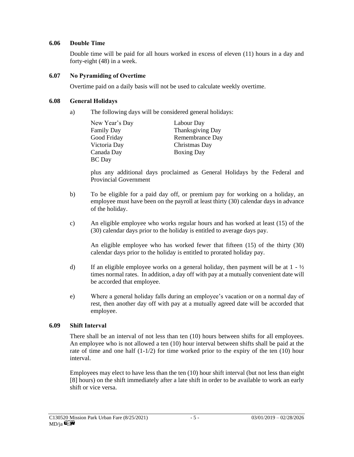#### **6.06 Double Time**

Double time will be paid for all hours worked in excess of eleven (11) hours in a day and forty-eight (48) in a week.

#### **6.07 No Pyramiding of Overtime**

Overtime paid on a daily basis will not be used to calculate weekly overtime.

#### **6.08 General Holidays**

a) The following days will be considered general holidays:

| New Year's Day | Labour Day        |
|----------------|-------------------|
| Family Day     | Thanksgiving Day  |
| Good Friday    | Remembrance Day   |
| Victoria Day   | Christmas Day     |
| Canada Day     | <b>Boxing Day</b> |
| <b>BC</b> Day  |                   |

plus any additional days proclaimed as General Holidays by the Federal and Provincial Government

- b) To be eligible for a paid day off, or premium pay for working on a holiday, an employee must have been on the payroll at least thirty (30) calendar days in advance of the holiday.
- c) An eligible employee who works regular hours and has worked at least (15) of the (30) calendar days prior to the holiday is entitled to average days pay.

An eligible employee who has worked fewer that fifteen (15) of the thirty (30) calendar days prior to the holiday is entitled to prorated holiday pay.

- d) If an eligible employee works on a general holiday, then payment will be at  $1 \frac{1}{2}$ times normal rates. In addition, a day off with pay at a mutually convenient date will be accorded that employee.
- e) Where a general holiday falls during an employee's vacation or on a normal day of rest, then another day off with pay at a mutually agreed date will be accorded that employee.

#### **6.09 Shift Interval**

There shall be an interval of not less than ten (10) hours between shifts for all employees. An employee who is not allowed a ten (10) hour interval between shifts shall be paid at the rate of time and one half  $(1-1/2)$  for time worked prior to the expiry of the ten (10) hour interval.

Employees may elect to have less than the ten (10) hour shift interval (but not less than eight [8] hours) on the shift immediately after a late shift in order to be available to work an early shift or vice versa.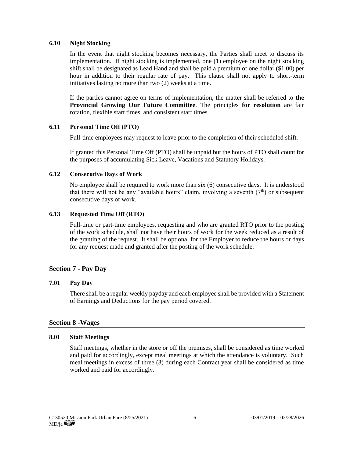#### **6.10 Night Stocking**

In the event that night stocking becomes necessary, the Parties shall meet to discuss its implementation. If night stocking is implemented, one (1) employee on the night stocking shift shall be designated as Lead Hand and shall be paid a premium of one dollar (\$1.00) per hour in addition to their regular rate of pay. This clause shall not apply to short-term initiatives lasting no more than two (2) weeks at a time.

If the parties cannot agree on terms of implementation, the matter shall be referred to **the Provincial Growing Our Future Committee**. The principles **for resolution** are fair rotation, flexible start times, and consistent start times.

#### **6.11 Personal Time Off (PTO)**

Full-time employees may request to leave prior to the completion of their scheduled shift.

If granted this Personal Time Off (PTO) shall be unpaid but the hours of PTO shall count for the purposes of accumulating Sick Leave, Vacations and Statutory Holidays.

#### **6.12 Consecutive Days of Work**

No employee shall be required to work more than six (6) consecutive days. It is understood that there will not be any "available hours" claim, involving a seventh  $(7<sup>th</sup>)$  or subsequent consecutive days of work.

#### **6.13 Requested Time Off (RTO)**

Full-time or part-time employees, requesting and who are granted RTO prior to the posting of the work schedule, shall not have their hours of work for the week reduced as a result of the granting of the request. It shall be optional for the Employer to reduce the hours or days for any request made and granted after the posting of the work schedule.

#### **Section 7 - Pay Day**

#### **7.01 Pay Day**

There shall be a regular weekly payday and each employee shall be provided with a Statement of Earnings and Deductions for the pay period covered.

#### **Section 8 -Wages**

#### **8.01 Staff Meetings**

Staff meetings, whether in the store or off the premises, shall be considered as time worked and paid for accordingly, except meal meetings at which the attendance is voluntary. Such meal meetings in excess of three (3) during each Contract year shall be considered as time worked and paid for accordingly.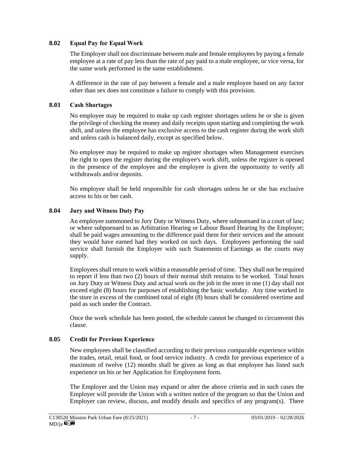#### **8.02 Equal Pay for Equal Work**

The Employer shall not discriminate between male and female employees by paying a female employee at a rate of pay less than the rate of pay paid to a male employee, or vice versa, for the same work performed in the same establishment.

A difference in the rate of pay between a female and a male employee based on any factor other than sex does not constitute a failure to comply with this provision.

#### **8.03 Cash Shortages**

No employee may be required to make up cash register shortages unless he or she is given the privilege of checking the money and daily receipts upon starting and completing the work shift, and unless the employee has exclusive access to the cash register during the work shift and unless cash is balanced daily, except as specified below.

No employee may be required to make up register shortages when Management exercises the right to open the register during the employee's work shift, unless the register is opened in the presence of the employee and the employee is given the opportunity to verify all withdrawals and/or deposits.

No employee shall be held responsible for cash shortages unless he or she has exclusive access to his or her cash.

#### **8.04 Jury and Witness Duty Pay**

An employee summoned to Jury Duty or Witness Duty, where subpoenaed in a court of law; or where subpoenaed to an Arbitration Hearing or Labour Board Hearing by the Employer; shall be paid wages amounting to the difference paid them for their services and the amount they would have earned had they worked on such days. Employees performing the said service shall furnish the Employer with such Statements of Earnings as the courts may supply.

Employees shall return to work within a reasonable period of time. They shall not be required to report if less than two (2) hours of their normal shift remains to be worked. Total hours on Jury Duty or Witness Duty and actual work on the job in the store in one (1) day shall not exceed eight (8) hours for purposes of establishing the basic workday. Any time worked in the store in excess of the combined total of eight (8) hours shall be considered overtime and paid as such under the Contract.

Once the work schedule has been posted, the schedule cannot be changed to circumvent this clause.

#### **8.05 Credit for Previous Experience**

New employees shall be classified according to their previous comparable experience within the trades, retail, retail food, or food service industry. A credit for previous experience of a maximum of twelve (12) months shall be given as long as that employee has listed such experience on his or her Application for Employment form.

The Employer and the Union may expand or alter the above criteria and in such cases the Employer will provide the Union with a written notice of the program so that the Union and Employer can review, discuss, and modify details and specifics of any program(s). There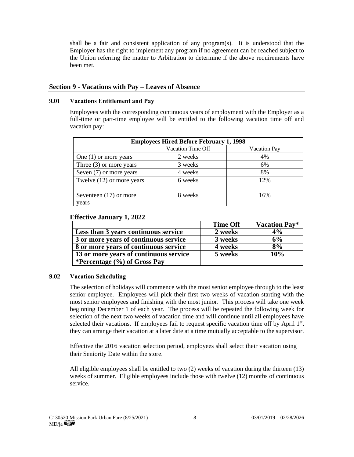shall be a fair and consistent application of any program(s). It is understood that the Employer has the right to implement any program if no agreement can be reached subject to the Union referring the matter to Arbitration to determine if the above requirements have been met.

#### **Section 9 - Vacations with Pay – Leaves of Absence**

#### **9.01 Vacations Entitlement and Pay**

Employees with the corresponding continuous years of employment with the Employer as a full-time or part-time employee will be entitled to the following vacation time off and vacation pay:

| <b>Employees Hired Before February 1, 1998</b> |         |     |  |  |  |
|------------------------------------------------|---------|-----|--|--|--|
| Vacation Time Off<br>Vacation Pay              |         |     |  |  |  |
| One $(1)$ or more years                        | 2 weeks | 4%  |  |  |  |
| Three $(3)$ or more years                      | 3 weeks | 6%  |  |  |  |
| Seven (7) or more years                        | 4 weeks | 8%  |  |  |  |
| Twelve $(12)$ or more years                    | 6 weeks | 12% |  |  |  |
| Seventeen $(17)$ or more<br>years              | 8 weeks | 16% |  |  |  |

#### **Effective January 1, 2022**

|                                        | <b>Time Off</b> | <b>Vacation Pay*</b> |
|----------------------------------------|-----------------|----------------------|
| Less than 3 years continuous service   | 2 weeks         | 4%                   |
| 3 or more years of continuous service  | 3 weeks         | 6%                   |
| 8 or more years of continuous service  | 4 weeks         | 8%                   |
| 13 or more years of continuous service | 5 weeks         | 10%                  |
| *Percentage $(\% )$ of Gross Pay       |                 |                      |

#### **9.02 Vacation Scheduling**

The selection of holidays will commence with the most senior employee through to the least senior employee. Employees will pick their first two weeks of vacation starting with the most senior employees and finishing with the most junior. This process will take one week beginning December 1 of each year. The process will be repeated the following week for selection of the next two weeks of vacation time and will continue until all employees have selected their vacations. If employees fail to request specific vacation time off by April  $1<sup>st</sup>$ , they can arrange their vacation at a later date at a time mutually acceptable to the supervisor.

Effective the 2016 vacation selection period, employees shall select their vacation using their Seniority Date within the store.

All eligible employees shall be entitled to two (2) weeks of vacation during the thirteen (13) weeks of summer. Eligible employees include those with twelve (12) months of continuous service.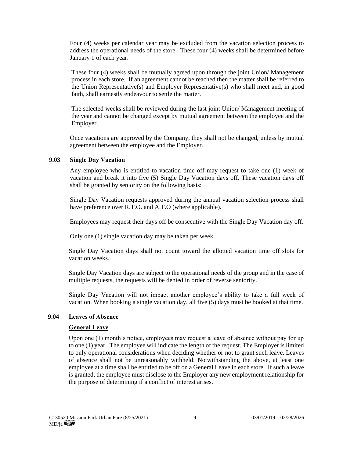Four (4) weeks per calendar year may be excluded from the vacation selection process to address the operational needs of the store. These four (4) weeks shall be determined before January 1 of each year.

These four (4) weeks shall be mutually agreed upon through the joint Union/ Management process in each store. If an agreement cannot be reached then the matter shall be referred to the Union Representative(s) and Employer Representative(s) who shall meet and, in good faith, shall earnestly endeavour to settle the matter.

The selected weeks shall be reviewed during the last joint Union/ Management meeting of the year and cannot be changed except by mutual agreement between the employee and the Employer.

Once vacations are approved by the Company, they shall not be changed, unless by mutual agreement between the employee and the Employer.

#### **9.03 Single Day Vacation**

Any employee who is entitled to vacation time off may request to take one (1) week of vacation and break it into five (5) Single Day Vacation days off. These vacation days off shall be granted by seniority on the following basis:

Single Day Vacation requests approved during the annual vacation selection process shall have preference over R.T.O. and A.T.O (where applicable).

Employees may request their days off be consecutive with the Single Day Vacation day off.

Only one (1) single vacation day may be taken per week.

Single Day Vacation days shall not count toward the allotted vacation time off slots for vacation weeks.

Single Day Vacation days are subject to the operational needs of the group and in the case of multiple requests, the requests will be denied in order of reverse seniority.

Single Day Vacation will not impact another employee's ability to take a full week of vacation. When booking a single vacation day, all five (5) days must be booked at that time.

#### **9.04 Leaves of Absence**

#### **General Leave**

Upon one (1) month's notice, employees may request a leave of absence without pay for up to one (1) year. The employee will indicate the length of the request. The Employer is limited to only operational considerations when deciding whether or not to grant such leave. Leaves of absence shall not be unreasonably withheld. Notwithstanding the above, at least one employee at a time shall be entitled to be off on a General Leave in each store. If such a leave is granted, the employee must disclose to the Employer any new employment relationship for the purpose of determining if a conflict of interest arises.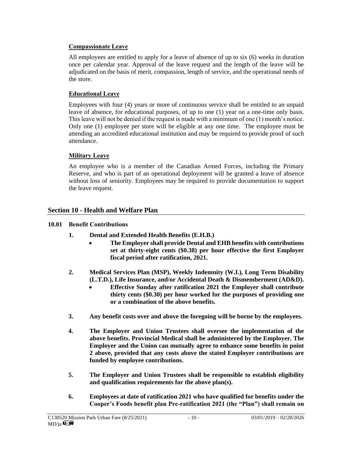#### **Compassionate Leave**

All employees are entitled to apply for a leave of absence of up to six (6) weeks in duration once per calendar year. Approval of the leave request and the length of the leave will be adjudicated on the basis of merit, compassion, length of service, and the operational needs of the store.

## **Educational Leave**

Employees with four (4) years or more of continuous service shall be entitled to an unpaid leave of absence, for educational purposes, of up to one (1) year on a one-time only basis. This leave will not be denied if the request is made with a minimum of one (1) month's notice. Only one (1) employee per store will be eligible at any one time. The employee must be attending an accredited educational institution and may be required to provide proof of such attendance.

## **Military Leave**

An employee who is a member of the Canadian Armed Forces, including the Primary Reserve, and who is part of an operational deployment will be granted a leave of absence without loss of seniority. Employees may be required to provide documentation to support the leave request.

## **Section 10 - Health and Welfare Plan**

## **10.01 Benefit Contributions**

- **1. Dental and Extended Health Benefits (E.H.B.)**
	- **The Employer shall provide Dental and EHB benefits with contributions set at thirty-eight cents (\$0.38) per hour effective the first Employer fiscal period after ratification, 2021.**
- **2. Medical Services Plan (MSP), Weekly Indemnity (W.I.), Long Term Disability (L.T.D.), Life Insurance, and/or Accidental Death & Dismemberment (AD&D).** 
	- **Effective Sunday after ratification 2021 the Employer shall contribute thirty cents (\$0.30) per hour worked for the purposes of providing one or a combination of the above benefits.**
- **3. Any benefit costs over and above the foregoing will be borne by the employees.**
- **4. The Employer and Union Trustees shall oversee the implementation of the above benefits. Provincial Medical shall be administered by the Employer. The Employer and the Union can mutually agree to enhance some benefits in point 2 above, provided that any costs above the stated Employer contributions are funded by employee contributions.**
- **5. The Employer and Union Trustees shall be responsible to establish eligibility and qualification requirements for the above plan(s).**
- **6. Employees at date of ratification 2021 who have qualified for benefits under the Cooper's Foods benefit plan Pre-ratification 2021 (the "Plan") shall remain on**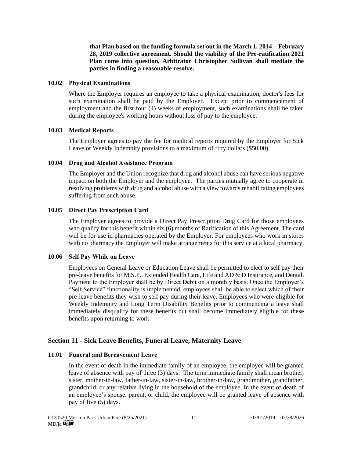**that Plan based on the funding formula set out in the March 1, 2014 – February 28, 2019 collective agreement. Should the viability of the Pre-ratification 2021 Plan come into question, Arbitrator Christopher Sullivan shall mediate the parties in finding a reasonable resolve.** 

#### **10.02 Physical Examinations**

Where the Employer requires an employee to take a physical examination, doctor's fees for such examination shall be paid by the Employer. Except prior to commencement of employment and the first four (4) weeks of employment, such examinations shall be taken during the employee's working hours without loss of pay to the employee.

#### **10.03 Medical Reports**

The Employer agrees to pay the fee for medical reports required by the Employer for Sick Leave or Weekly Indemnity provisions to a maximum of fifty dollars (\$50.00).

#### **10.04 Drug and Alcohol Assistance Program**

The Employer and the Union recognize that drug and alcohol abuse can have serious negative impact on both the Employer and the employee. The parties mutually agree to cooperate in resolving problems with drug and alcohol abuse with a view towards rehabilitating employees suffering from such abuse.

#### **10.05 Direct Pay Prescription Card**

The Employer agrees to provide a Direct Pay Prescription Drug Card for those employees who qualify for this benefit within six (6) months of Ratification of this Agreement. The card will be for use in pharmacies operated by the Employer. For employees who work in stores with no pharmacy the Employer will make arrangements for this service at a local pharmacy.

#### **10.06 Self Pay While on Leave**

Employees on General Leave or Education Leave shall be permitted to elect to self pay their pre-leave benefits for M.S.P., Extended Health Care, Life and AD & D Insurance, and Dental. Payment to the Employer shall be by Direct Debit on a monthly basis. Once the Employer's "Self Service" functionality is implemented, employees shall be able to select which of their pre-leave benefits they wish to self pay during their leave. Employees who were eligible for Weekly Indemnity and Long Term Disability Benefits prior to commencing a leave shall immediately disqualify for these benefits but shall become immediately eligible for these benefits upon returning to work.

## **Section 11 - Sick Leave Benefits, Funeral Leave, Maternity Leave**

## **11.01 Funeral and Bereavement Leave**

In the event of death in the immediate family of an employee, the employee will be granted leave of absence with pay of three (3) days. The term immediate family shall mean brother, sister, mother-in-law, father-in-law, sister-in-law, brother-in-law, grandmother, grandfather, grandchild, or any relative living in the household of the employee. In the event of death of an employee's spouse, parent, or child, the employee will be granted leave of absence with pay of five (5) days.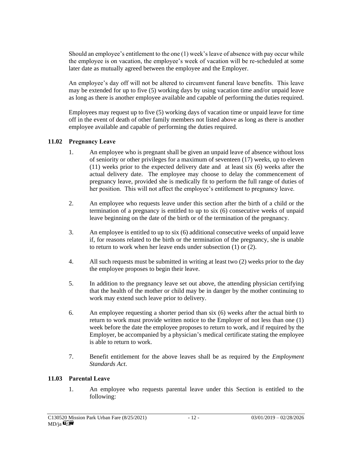Should an employee's entitlement to the one (1) week's leave of absence with pay occur while the employee is on vacation, the employee's week of vacation will be re-scheduled at some later date as mutually agreed between the employee and the Employer.

An employee's day off will not be altered to circumvent funeral leave benefits. This leave may be extended for up to five (5) working days by using vacation time and/or unpaid leave as long as there is another employee available and capable of performing the duties required.

Employees may request up to five (5) working days of vacation time or unpaid leave for time off in the event of death of other family members not listed above as long as there is another employee available and capable of performing the duties required.

#### **11.02 Pregnancy Leave**

- 1. An employee who is pregnant shall be given an unpaid leave of absence without loss of seniority or other privileges for a maximum of seventeen (17) weeks, up to eleven (11) weeks prior to the expected delivery date and at least six (6) weeks after the actual delivery date. The employee may choose to delay the commencement of pregnancy leave, provided she is medically fit to perform the full range of duties of her position. This will not affect the employee's entitlement to pregnancy leave.
- 2. An employee who requests leave under this section after the birth of a child or the termination of a pregnancy is entitled to up to six (6) consecutive weeks of unpaid leave beginning on the date of the birth or of the termination of the pregnancy.
- 3. An employee is entitled to up to six (6) additional consecutive weeks of unpaid leave if, for reasons related to the birth or the termination of the pregnancy, she is unable to return to work when her leave ends under subsection (1) or (2).
- 4. All such requests must be submitted in writing at least two (2) weeks prior to the day the employee proposes to begin their leave.
- 5. In addition to the pregnancy leave set out above, the attending physician certifying that the health of the mother or child may be in danger by the mother continuing to work may extend such leave prior to delivery.
- 6. An employee requesting a shorter period than six (6) weeks after the actual birth to return to work must provide written notice to the Employer of not less than one (1) week before the date the employee proposes to return to work, and if required by the Employer, be accompanied by a physician's medical certificate stating the employee is able to return to work.
- 7. Benefit entitlement for the above leaves shall be as required by the *Employment Standards Act*.

#### **11.03 Parental Leave**

1. An employee who requests parental leave under this Section is entitled to the following: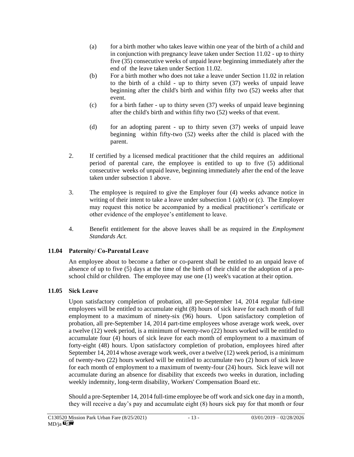- (a) for a birth mother who takes leave within one year of the birth of a child and in conjunction with pregnancy leave taken under Section 11.02 - up to thirty five (35) consecutive weeks of unpaid leave beginning immediately after the end of the leave taken under Section 11.02.
- (b) For a birth mother who does not take a leave under Section 11.02 in relation to the birth of a child - up to thirty seven (37) weeks of unpaid leave beginning after the child's birth and within fifty two (52) weeks after that event.
- (c) for a birth father up to thirty seven  $(37)$  weeks of unpaid leave beginning after the child's birth and within fifty two (52) weeks of that event.
- (d) for an adopting parent up to thirty seven (37) weeks of unpaid leave beginning within fifty-two (52) weeks after the child is placed with the parent.
- 2. If certified by a licensed medical practitioner that the child requires an additional period of parental care, the employee is entitled to up to five (5) additional consecutive weeks of unpaid leave, beginning immediately after the end of the leave taken under subsection 1 above.
- 3. The employee is required to give the Employer four (4) weeks advance notice in writing of their intent to take a leave under subsection  $1(a)(b)$  or  $(c)$ . The Employer may request this notice be accompanied by a medical practitioner's certificate or other evidence of the employee's entitlement to leave.
- 4. Benefit entitlement for the above leaves shall be as required in the *Employment Standards Act.*

#### **11.04 Paternity/ Co-Parental Leave**

An employee about to become a father or co-parent shall be entitled to an unpaid leave of absence of up to five (5) days at the time of the birth of their child or the adoption of a preschool child or children. The employee may use one (1) week's vacation at their option.

## **11.05 Sick Leave**

Upon satisfactory completion of probation, all pre-September 14, 2014 regular full-time employees will be entitled to accumulate eight (8) hours of sick leave for each month of full employment to a maximum of ninety-six (96) hours. Upon satisfactory completion of probation, all pre-September 14, 2014 part-time employees whose average work week, over a twelve (12) week period, is a minimum of twenty-two (22) hours worked will be entitled to accumulate four (4) hours of sick leave for each month of employment to a maximum of forty-eight (48) hours. Upon satisfactory completion of probation, employees hired after September 14, 2014 whose average work week, over a twelve (12) week period, is a minimum of twenty-two (22) hours worked will be entitled to accumulate two (2) hours of sick leave for each month of employment to a maximum of twenty-four (24) hours. Sick leave will not accumulate during an absence for disability that exceeds two weeks in duration, including weekly indemnity, long-term disability, Workers' Compensation Board etc.

Should a pre-September 14, 2014 full-time employee be off work and sick one day in a month, they will receive a day's pay and accumulate eight (8) hours sick pay for that month or four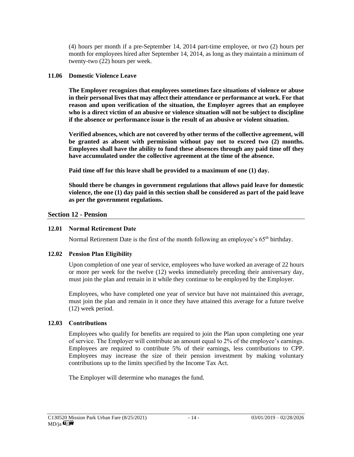(4) hours per month if a pre-September 14, 2014 part-time employee, or two (2) hours per month for employees hired after September 14, 2014, as long as they maintain a minimum of twenty-two (22) hours per week.

#### **11.06 Domestic Violence Leave**

**The Employer recognizes that employees sometimes face situations of violence or abuse in their personal lives that may affect their attendance or performance at work. For that reason and upon verification of the situation, the Employer agrees that an employee who is a direct victim of an abusive or violence situation will not be subject to discipline if the absence or performance issue is the result of an abusive or violent situation.**

**Verified absences, which are not covered by other terms of the collective agreement, will be granted as absent with permission without pay not to exceed two (2) months. Employees shall have the ability to fund these absences through any paid time off they have accumulated under the collective agreement at the time of the absence.**

**Paid time off for this leave shall be provided to a maximum of one (1) day.**

**Should there be changes in government regulations that allows paid leave for domestic violence, the one (1) day paid in this section shall be considered as part of the paid leave as per the government regulations.** 

#### **Section 12 - Pension**

#### **12.01 Normal Retirement Date**

Normal Retirement Date is the first of the month following an employee's  $65<sup>th</sup>$  birthday.

#### **12.02 Pension Plan Eligibility**

Upon completion of one year of service, employees who have worked an average of 22 hours or more per week for the twelve (12) weeks immediately preceding their anniversary day, must join the plan and remain in it while they continue to be employed by the Employer.

Employees, who have completed one year of service but have not maintained this average, must join the plan and remain in it once they have attained this average for a future twelve (12) week period.

#### **12.03 Contributions**

Employees who qualify for benefits are required to join the Plan upon completing one year of service. The Employer will contribute an amount equal to 2% of the employee's earnings. Employees are required to contribute 5% of their earnings, less contributions to CPP. Employees may increase the size of their pension investment by making voluntary contributions up to the limits specified by the Income Tax Act.

The Employer will determine who manages the fund.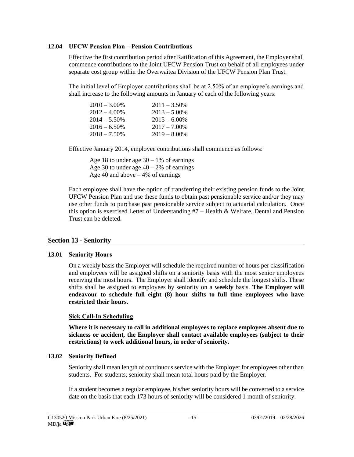#### **12.04 UFCW Pension Plan – Pension Contributions**

Effective the first contribution period after Ratification of this Agreement, the Employer shall commence contributions to the Joint UFCW Pension Trust on behalf of all employees under separate cost group within the Overwaitea Division of the UFCW Pension Plan Trust.

The initial level of Employer contributions shall be at 2.50% of an employee's earnings and shall increase to the following amounts in January of each of the following years:

| $2010 - 3.00\%$ | $2011 - 3.50\%$ |
|-----------------|-----------------|
| $2012 - 4.00\%$ | $2013 - 5.00\%$ |
| $2014 - 5.50\%$ | $2015 - 6.00\%$ |
| $2016 - 6.50\%$ | $2017 - 7.00\%$ |
| $2018 - 7.50\%$ | $2019 - 8.00\%$ |

Effective January 2014, employee contributions shall commence as follows:

Age 18 to under age  $30 - 1\%$  of earnings Age 30 to under age  $40 - 2\%$  of earnings Age 40 and above  $-4\%$  of earnings

Each employee shall have the option of transferring their existing pension funds to the Joint UFCW Pension Plan and use these funds to obtain past pensionable service and/or they may use other funds to purchase past pensionable service subject to actuarial calculation. Once this option is exercised Letter of Understanding  $#7$  – Health & Welfare, Dental and Pension Trust can be deleted.

#### **Section 13 - Seniority**

#### **13.01 Seniority Hours**

On a weekly basis the Employer will schedule the required number of hours per classification and employees will be assigned shifts on a seniority basis with the most senior employees receiving the most hours. The Employer shall identify and schedule the longest shifts. These shifts shall be assigned to employees by seniority on a **weekly** basis. **The Employer will endeavour to schedule full eight (8) hour shifts to full time employees who have restricted their hours.**

#### **Sick Call-In Scheduling**

**Where it is necessary to call in additional employees to replace employees absent due to sickness or accident, the Employer shall contact available employees (subject to their restrictions) to work additional hours, in order of seniority.** 

#### **13.02 Seniority Defined**

Seniority shall mean length of continuous service with the Employer for employees other than students. For students, seniority shall mean total hours paid by the Employer.

If a student becomes a regular employee, his/her seniority hours will be converted to a service date on the basis that each 173 hours of seniority will be considered 1 month of seniority.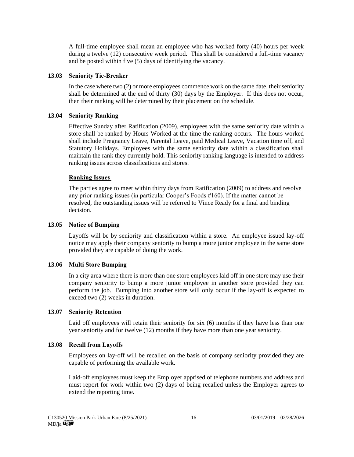A full-time employee shall mean an employee who has worked forty (40) hours per week during a twelve (12) consecutive week period. This shall be considered a full-time vacancy and be posted within five (5) days of identifying the vacancy.

#### **13.03 Seniority Tie-Breaker**

In the case where two (2) or more employees commence work on the same date, their seniority shall be determined at the end of thirty (30) days by the Employer. If this does not occur, then their ranking will be determined by their placement on the schedule.

#### **13.04 Seniority Ranking**

Effective Sunday after Ratification (2009), employees with the same seniority date within a store shall be ranked by Hours Worked at the time the ranking occurs. The hours worked shall include Pregnancy Leave, Parental Leave, paid Medical Leave, Vacation time off, and Statutory Holidays. Employees with the same seniority date within a classification shall maintain the rank they currently hold. This seniority ranking language is intended to address ranking issues across classifications and stores.

#### **Ranking Issues**

The parties agree to meet within thirty days from Ratification (2009) to address and resolve any prior ranking issues (in particular Cooper's Foods #160). If the matter cannot be resolved, the outstanding issues will be referred to Vince Ready for a final and binding decision.

#### **13.05 Notice of Bumping**

Layoffs will be by seniority and classification within a store. An employee issued lay-off notice may apply their company seniority to bump a more junior employee in the same store provided they are capable of doing the work.

#### **13.06 Multi Store Bumping**

In a city area where there is more than one store employees laid off in one store may use their company seniority to bump a more junior employee in another store provided they can perform the job. Bumping into another store will only occur if the lay-off is expected to exceed two (2) weeks in duration.

#### **13.07 Seniority Retention**

Laid off employees will retain their seniority for six (6) months if they have less than one year seniority and for twelve (12) months if they have more than one year seniority.

#### **13.08 Recall from Layoffs**

Employees on lay-off will be recalled on the basis of company seniority provided they are capable of performing the available work.

Laid-off employees must keep the Employer apprised of telephone numbers and address and must report for work within two (2) days of being recalled unless the Employer agrees to extend the reporting time.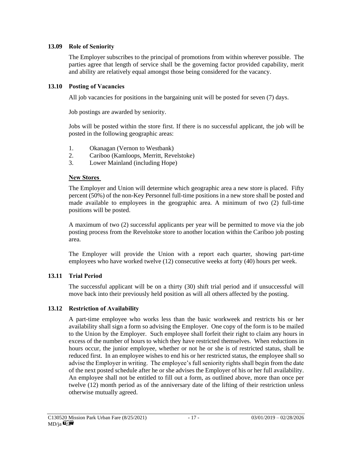#### **13.09 Role of Seniority**

The Employer subscribes to the principal of promotions from within wherever possible. The parties agree that length of service shall be the governing factor provided capability, merit and ability are relatively equal amongst those being considered for the vacancy.

#### **13.10 Posting of Vacancies**

All job vacancies for positions in the bargaining unit will be posted for seven (7) days.

Job postings are awarded by seniority.

Jobs will be posted within the store first. If there is no successful applicant, the job will be posted in the following geographic areas:

- 1. Okanagan (Vernon to Westbank)
- 2. Cariboo (Kamloops, Merritt, Revelstoke)
- 3. Lower Mainland (including Hope)

#### **New Stores**

The Employer and Union will determine which geographic area a new store is placed. Fifty percent (50%) of the non-Key Personnel full-time positions in a new store shall be posted and made available to employees in the geographic area. A minimum of two (2) full-time positions will be posted.

A maximum of two (2) successful applicants per year will be permitted to move via the job posting process from the Revelstoke store to another location within the Cariboo job posting area.

The Employer will provide the Union with a report each quarter, showing part-time employees who have worked twelve (12) consecutive weeks at forty (40) hours per week.

#### **13.11 Trial Period**

The successful applicant will be on a thirty (30) shift trial period and if unsuccessful will move back into their previously held position as will all others affected by the posting.

#### **13.12 Restriction of Availability**

A part-time employee who works less than the basic workweek and restricts his or her availability shall sign a form so advising the Employer. One copy of the form is to be mailed to the Union by the Employer. Such employee shall forfeit their right to claim any hours in excess of the number of hours to which they have restricted themselves. When reductions in hours occur, the junior employee, whether or not he or she is of restricted status, shall be reduced first. In an employee wishes to end his or her restricted status, the employee shall so advise the Employer in writing. The employee's full seniority rights shall begin from the date of the next posted schedule after he or she advises the Employer of his or her full availability. An employee shall not be entitled to fill out a form, as outlined above, more than once per twelve (12) month period as of the anniversary date of the lifting of their restriction unless otherwise mutually agreed.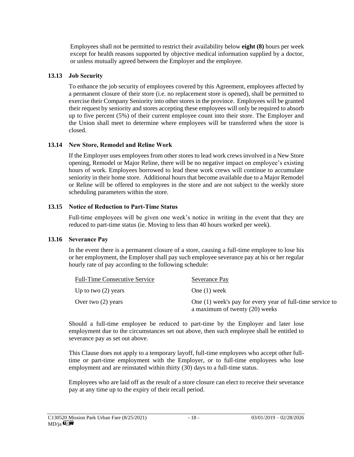Employees shall not be permitted to restrict their availability below **eight (8)** hours per week except for health reasons supported by objective medical information supplied by a doctor, or unless mutually agreed between the Employer and the employee.

#### **13.13 Job Security**

To enhance the job security of employees covered by this Agreement, employees affected by a permanent closure of their store (i.e. no replacement store is opened), shall be permitted to exercise their Company Seniority into other stores in the province. Employees will be granted their request by seniority and stores accepting these employees will only be required to absorb up to five percent (5%) of their current employee count into their store. The Employer and the Union shall meet to determine where employees will be transferred when the store is closed.

#### **13.14 New Store, Remodel and Reline Work**

If the Employer uses employees from other stores to lead work crews involved in a New Store opening, Remodel or Major Reline, there will be no negative impact on employee's existing hours of work. Employees borrowed to lead these work crews will continue to accumulate seniority in their home store. Additional hours that become available due to a Major Remodel or Reline will be offered to employees in the store and are not subject to the weekly store scheduling parameters within the store.

#### **13.15 Notice of Reduction to Part-Time Status**

Full-time employees will be given one week's notice in writing in the event that they are reduced to part-time status (ie. Moving to less than 40 hours worked per week).

#### **13.16 Severance Pay**

In the event there is a permanent closure of a store, causing a full-time employee to lose his or her employment, the Employer shall pay such employee severance pay at his or her regular hourly rate of pay according to the following schedule:

| <b>Full-Time Consecutive Service</b> | Severance Pay                                                                               |
|--------------------------------------|---------------------------------------------------------------------------------------------|
| Up to two $(2)$ years                | One $(1)$ week                                                                              |
| Over two $(2)$ years                 | One (1) week's pay for every year of full-time service to<br>a maximum of twenty (20) weeks |

Should a full-time employee be reduced to part-time by the Employer and later lose employment due to the circumstances set out above, then such employee shall be entitled to severance pay as set out above.

This Clause does not apply to a temporary layoff, full-time employees who accept other fulltime or part-time employment with the Employer, or to full-time employees who lose employment and are reinstated within thirty (30) days to a full-time status.

Employees who are laid off as the result of a store closure can elect to receive their severance pay at any time up to the expiry of their recall period.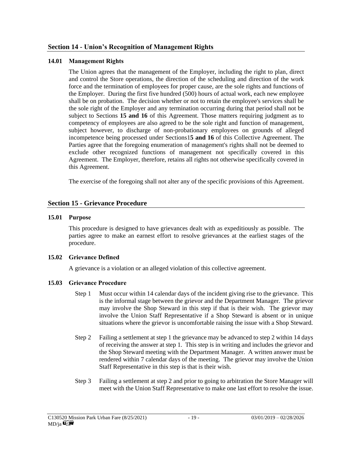#### **14.01 Management Rights**

The Union agrees that the management of the Employer, including the right to plan, direct and control the Store operations, the direction of the scheduling and direction of the work force and the termination of employees for proper cause, are the sole rights and functions of the Employer. During the first five hundred (500) hours of actual work, each new employee shall be on probation. The decision whether or not to retain the employee's services shall be the sole right of the Employer and any termination occurring during that period shall not be subject to Sections **15 and 16** of this Agreement. Those matters requiring judgment as to competency of employees are also agreed to be the sole right and function of management, subject however, to discharge of non-probationary employees on grounds of alleged incompetence being processed under Sections1**5 and 16** of this Collective Agreement. The Parties agree that the foregoing enumeration of management's rights shall not be deemed to exclude other recognized functions of management not specifically covered in this Agreement. The Employer, therefore, retains all rights not otherwise specifically covered in this Agreement.

The exercise of the foregoing shall not alter any of the specific provisions of this Agreement.

#### **Section 15 - Grievance Procedure**

#### **15.01 Purpose**

This procedure is designed to have grievances dealt with as expeditiously as possible. The parties agree to make an earnest effort to resolve grievances at the earliest stages of the procedure.

#### **15.02 Grievance Defined**

A grievance is a violation or an alleged violation of this collective agreement.

#### **15.03 Grievance Procedure**

- Step 1 Must occur within 14 calendar days of the incident giving rise to the grievance. This is the informal stage between the grievor and the Department Manager. The grievor may involve the Shop Steward in this step if that is their wish. The grievor may involve the Union Staff Representative if a Shop Steward is absent or in unique situations where the grievor is uncomfortable raising the issue with a Shop Steward.
- Step 2 Failing a settlement at step 1 the grievance may be advanced to step 2 within 14 days of receiving the answer at step 1. This step is in writing and includes the grievor and the Shop Steward meeting with the Department Manager. A written answer must be rendered within 7 calendar days of the meeting. The grievor may involve the Union Staff Representative in this step is that is their wish.
- Step 3 Failing a settlement at step 2 and prior to going to arbitration the Store Manager will meet with the Union Staff Representative to make one last effort to resolve the issue.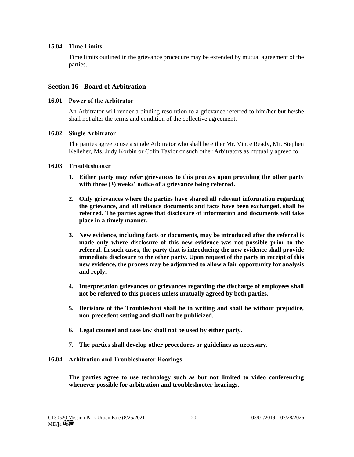#### **15.04 Time Limits**

Time limits outlined in the grievance procedure may be extended by mutual agreement of the parties.

#### **Section 16 - Board of Arbitration**

#### **16.01 Power of the Arbitrator**

An Arbitrator will render a binding resolution to a grievance referred to him/her but he/she shall not alter the terms and condition of the collective agreement.

#### **16.02 Single Arbitrator**

The parties agree to use a single Arbitrator who shall be either Mr. Vince Ready, Mr. Stephen Kelleher, Ms. Judy Korbin or Colin Taylor or such other Arbitrators as mutually agreed to.

#### **16.03 Troubleshooter**

- **1. Either party may refer grievances to this process upon providing the other party with three (3) weeks' notice of a grievance being referred.**
- **2. Only grievances where the parties have shared all relevant information regarding the grievance, and all reliance documents and facts have been exchanged, shall be referred. The parties agree that disclosure of information and documents will take place in a timely manner.**
- **3. New evidence, including facts or documents, may be introduced after the referral is made only where disclosure of this new evidence was not possible prior to the referral. In such cases, the party that is introducing the new evidence shall provide immediate disclosure to the other party. Upon request of the party in receipt of this new evidence, the process may be adjourned to allow a fair opportunity for analysis and reply.**
- **4. Interpretation grievances or grievances regarding the discharge of employees shall not be referred to this process unless mutually agreed by both parties.**
- **5. Decisions of the Troubleshoot shall be in writing and shall be without prejudice, non-precedent setting and shall not be publicized.**
- **6. Legal counsel and case law shall not be used by either party.**
- **7. The parties shall develop other procedures or guidelines as necessary.**

#### **16.04 Arbitration and Troubleshooter Hearings**

**The parties agree to use technology such as but not limited to video conferencing whenever possible for arbitration and troubleshooter hearings.**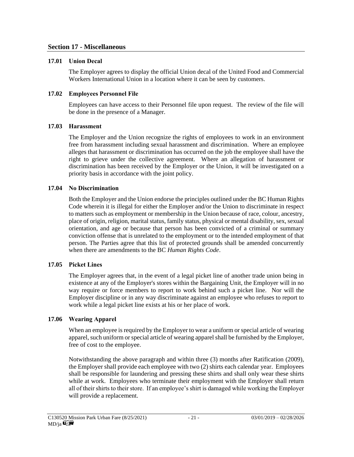#### **Section 17 - Miscellaneous**

#### **17.01 Union Decal**

The Employer agrees to display the official Union decal of the United Food and Commercial Workers International Union in a location where it can be seen by customers.

#### **17.02 Employees Personnel File**

Employees can have access to their Personnel file upon request. The review of the file will be done in the presence of a Manager.

#### **17.03 Harassment**

The Employer and the Union recognize the rights of employees to work in an environment free from harassment including sexual harassment and discrimination. Where an employee alleges that harassment or discrimination has occurred on the job the employee shall have the right to grieve under the collective agreement. Where an allegation of harassment or discrimination has been received by the Employer or the Union, it will be investigated on a priority basis in accordance with the joint policy.

#### **17.04 No Discrimination**

Both the Employer and the Union endorse the principles outlined under the BC Human Rights Code wherein it is illegal for either the Employer and/or the Union to discriminate in respect to matters such as employment or membership in the Union because of race, colour, ancestry, place of origin, religion, marital status, family status, physical or mental disability, sex, sexual orientation, and age or because that person has been convicted of a criminal or summary conviction offense that is unrelated to the employment or to the intended employment of that person. The Parties agree that this list of protected grounds shall be amended concurrently when there are amendments to the BC *Human Rights Code*.

#### **17.05 Picket Lines**

The Employer agrees that, in the event of a legal picket line of another trade union being in existence at any of the Employer's stores within the Bargaining Unit, the Employer will in no way require or force members to report to work behind such a picket line. Nor will the Employer discipline or in any way discriminate against an employee who refuses to report to work while a legal picket line exists at his or her place of work.

#### **17.06 Wearing Apparel**

When an employee is required by the Employer to wear a uniform or special article of wearing apparel, such uniform or special article of wearing apparel shall be furnished by the Employer, free of cost to the employee.

Notwithstanding the above paragraph and within three (3) months after Ratification (2009), the Employer shall provide each employee with two (2) shirts each calendar year. Employees shall be responsible for laundering and pressing these shirts and shall only wear these shirts while at work. Employees who terminate their employment with the Employer shall return all of their shirts to their store. If an employee's shirt is damaged while working the Employer will provide a replacement.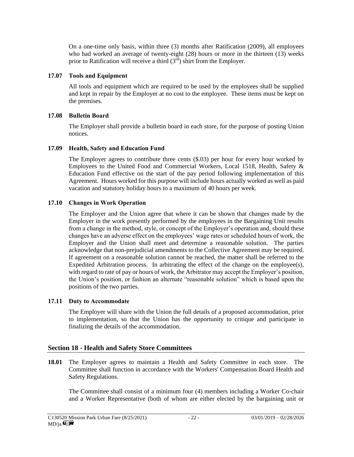On a one-time only basis, within three (3) months after Ratification (2009), all employees who had worked an average of twenty-eight (28) hours or more in the thirteen (13) weeks prior to Ratification will receive a third  $(3<sup>rd</sup>)$  shirt from the Employer.

#### **17.07 Tools and Equipment**

All tools and equipment which are required to be used by the employees shall be supplied and kept in repair by the Employer at no cost to the employee. These items must be kept on the premises.

#### **17.08 Bulletin Board**

The Employer shall provide a bulletin board in each store, for the purpose of posting Union notices.

#### **17.09 Health, Safety and Education Fund**

The Employer agrees to contribute three cents (\$.03) per hour for every hour worked by Employees to the United Food and Commercial Workers, Local 1518, Health, Safety & Education Fund effective on the start of the pay period following implementation of this Agreement. Hours worked for this purpose will include hours actually worked as well as paid vacation and statutory holiday hours to a maximum of 40 hours per week.

#### **17.10 Changes in Work Operation**

The Employer and the Union agree that where it can be shown that changes made by the Employer in the work presently performed by the employees in the Bargaining Unit results from a change in the method, style, or concept of the Employer's operation and, should these changes have an adverse effect on the employees' wage rates or scheduled hours of work, the Employer and the Union shall meet and determine a reasonable solution. The parties acknowledge that non-prejudicial amendments to the Collective Agreement may be required. If agreement on a reasonable solution cannot be reached, the matter shall be referred to the Expedited Arbitration process. In arbitrating the effect of the change on the employee(s), with regard to rate of pay or hours of work, the Arbitrator may accept the Employer's position, the Union's position, or fashion an alternate "reasonable solution" which is based upon the positions of the two parties.

#### **17.11 Duty to Accommodate**

The Employer will share with the Union the full details of a proposed accommodation, prior to implementation, so that the Union has the opportunity to critique and participate in finalizing the details of the accommodation.

#### **Section 18 - Health and Safety Store Committees**

**18.01** The Employer agrees to maintain a Health and Safety Committee in each store. The Committee shall function in accordance with the Workers' Compensation Board Health and Safety Regulations.

The Committee shall consist of a minimum four (4) members including a Worker Co-chair and a Worker Representative (both of whom are either elected by the bargaining unit or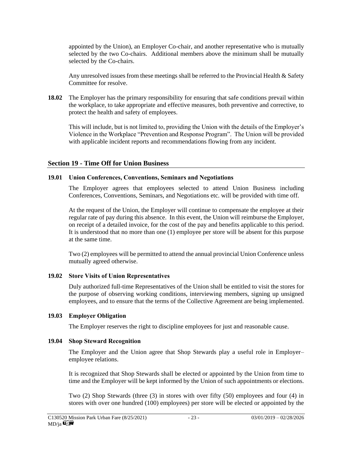appointed by the Union), an Employer Co-chair, and another representative who is mutually selected by the two Co-chairs. Additional members above the minimum shall be mutually selected by the Co-chairs.

Any unresolved issues from these meetings shall be referred to the Provincial Health & Safety Committee for resolve.

**18.02** The Employer has the primary responsibility for ensuring that safe conditions prevail within the workplace, to take appropriate and effective measures, both preventive and corrective, to protect the health and safety of employees.

This will include, but is not limited to, providing the Union with the details of the Employer's Violence in the Workplace "Prevention and Response Program". The Union will be provided with applicable incident reports and recommendations flowing from any incident.

#### **Section 19 - Time Off for Union Business**

#### **19.01 Union Conferences, Conventions, Seminars and Negotiations**

The Employer agrees that employees selected to attend Union Business including Conferences, Conventions, Seminars, and Negotiations etc. will be provided with time off.

At the request of the Union, the Employer will continue to compensate the employee at their regular rate of pay during this absence. In this event, the Union will reimburse the Employer, on receipt of a detailed invoice, for the cost of the pay and benefits applicable to this period. It is understood that no more than one (1) employee per store will be absent for this purpose at the same time.

Two (2) employees will be permitted to attend the annual provincial Union Conference unless mutually agreed otherwise.

#### **19.02 Store Visits of Union Representatives**

Duly authorized full-time Representatives of the Union shall be entitled to visit the stores for the purpose of observing working conditions, interviewing members, signing up unsigned employees, and to ensure that the terms of the Collective Agreement are being implemented.

#### **19.03 Employer Obligation**

The Employer reserves the right to discipline employees for just and reasonable cause.

#### **19.04 Shop Steward Recognition**

The Employer and the Union agree that Shop Stewards play a useful role in Employer– employee relations.

It is recognized that Shop Stewards shall be elected or appointed by the Union from time to time and the Employer will be kept informed by the Union of such appointments or elections.

Two (2) Shop Stewards (three (3) in stores with over fifty (50) employees and four (4) in stores with over one hundred (100) employees) per store will be elected or appointed by the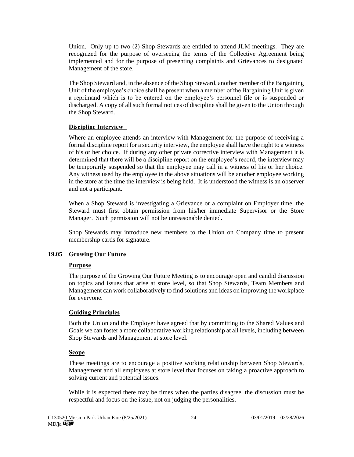Union. Only up to two (2) Shop Stewards are entitled to attend JLM meetings. They are recognized for the purpose of overseeing the terms of the Collective Agreement being implemented and for the purpose of presenting complaints and Grievances to designated Management of the store.

The Shop Steward and, in the absence of the Shop Steward, another member of the Bargaining Unit of the employee's choice shall be present when a member of the Bargaining Unit is given a reprimand which is to be entered on the employee's personnel file or is suspended or discharged. A copy of all such formal notices of discipline shall be given to the Union through the Shop Steward.

#### **Discipline Interview**

Where an employee attends an interview with Management for the purpose of receiving a formal discipline report for a security interview, the employee shall have the right to a witness of his or her choice. If during any other private corrective interview with Management it is determined that there will be a discipline report on the employee's record, the interview may be temporarily suspended so that the employee may call in a witness of his or her choice. Any witness used by the employee in the above situations will be another employee working in the store at the time the interview is being held. It is understood the witness is an observer and not a participant.

When a Shop Steward is investigating a Grievance or a complaint on Employer time, the Steward must first obtain permission from his/her immediate Supervisor or the Store Manager. Such permission will not be unreasonable denied.

Shop Stewards may introduce new members to the Union on Company time to present membership cards for signature.

#### **19.05 Growing Our Future**

#### **Purpose**

The purpose of the Growing Our Future Meeting is to encourage open and candid discussion on topics and issues that arise at store level, so that Shop Stewards, Team Members and Management can work collaboratively to find solutions and ideas on improving the workplace for everyone.

#### **Guiding Principles**

Both the Union and the Employer have agreed that by committing to the Shared Values and Goals we can foster a more collaborative working relationship at all levels, including between Shop Stewards and Management at store level.

#### **Scope**

These meetings are to encourage a positive working relationship between Shop Stewards, Management and all employees at store level that focuses on taking a proactive approach to solving current and potential issues.

While it is expected there may be times when the parties disagree, the discussion must be respectful and focus on the issue, not on judging the personalities.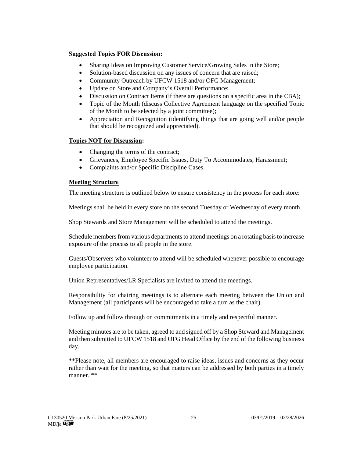#### **Suggested Topics FOR Discussion:**

- Sharing Ideas on Improving Customer Service/Growing Sales in the Store;
- Solution-based discussion on any issues of concern that are raised;
- Community Outreach by UFCW 1518 and/or OFG Management;
- Update on Store and Company's Overall Performance;
- Discussion on Contract Items (if there are questions on a specific area in the CBA);
- Topic of the Month (discuss Collective Agreement language on the specified Topic of the Month to be selected by a joint committee);
- Appreciation and Recognition (identifying things that are going well and/or people that should be recognized and appreciated).

#### **Topics NOT for Discussion:**

- Changing the terms of the contract;
- Grievances, Employee Specific Issues, Duty To Accommodates, Harassment;
- Complaints and/or Specific Discipline Cases.

#### **Meeting Structure**

The meeting structure is outlined below to ensure consistency in the process for each store:

Meetings shall be held in every store on the second Tuesday or Wednesday of every month.

Shop Stewards and Store Management will be scheduled to attend the meetings.

Schedule members from various departments to attend meetings on a rotating basis to increase exposure of the process to all people in the store.

Guests/Observers who volunteer to attend will be scheduled whenever possible to encourage employee participation.

Union Representatives/LR Specialists are invited to attend the meetings.

Responsibility for chairing meetings is to alternate each meeting between the Union and Management (all participants will be encouraged to take a turn as the chair).

Follow up and follow through on commitments in a timely and respectful manner.

Meeting minutes are to be taken, agreed to and signed off by a Shop Steward and Management and then submitted to UFCW 1518 and OFG Head Office by the end of the following business day.

\*\*Please note, all members are encouraged to raise ideas, issues and concerns as they occur rather than wait for the meeting, so that matters can be addressed by both parties in a timely manner. \*\*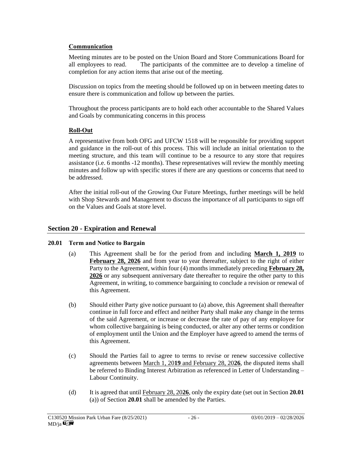#### **Communication**

Meeting minutes are to be posted on the Union Board and Store Communications Board for all employees to read. The participants of the committee are to develop a timeline of completion for any action items that arise out of the meeting.

Discussion on topics from the meeting should be followed up on in between meeting dates to ensure there is communication and follow up between the parties.

Throughout the process participants are to hold each other accountable to the Shared Values and Goals by communicating concerns in this process

## **Roll-Out**

A representative from both OFG and UFCW 1518 will be responsible for providing support and guidance in the roll-out of this process. This will include an initial orientation to the meeting structure, and this team will continue to be a resource to any store that requires assistance (i.e. 6 months -12 months). These representatives will review the monthly meeting minutes and follow up with specific stores if there are any questions or concerns that need to be addressed.

After the initial roll-out of the Growing Our Future Meetings, further meetings will be held with Shop Stewards and Management to discuss the importance of all participants to sign off on the Values and Goals at store level.

## **Section 20 - Expiration and Renewal**

#### **20.01 Term and Notice to Bargain**

- (a) This Agreement shall be for the period from and including **March 1, 2019** to February 28, 2026 and from year to year thereafter, subject to the right of either Party to the Agreement, within four (4) months immediately preceding **February 28, 2026** or any subsequent anniversary date thereafter to require the other party to this Agreement, in writing, to commence bargaining to conclude a revision or renewal of this Agreement.
- (b) Should either Party give notice pursuant to (a) above, this Agreement shall thereafter continue in full force and effect and neither Party shall make any change in the terms of the said Agreement, or increase or decrease the rate of pay of any employee for whom collective bargaining is being conducted, or alter any other terms or condition of employment until the Union and the Employer have agreed to amend the terms of this Agreement.
- (c) Should the Parties fail to agree to terms to revise or renew successive collective agreements between March 1, 20**19** and February 28, 20**26**, the disputed items shall be referred to Binding Interest Arbitration as referenced in Letter of Understanding – Labour Continuity.
- (d) It is agreed that until February 28, 20**26**, only the expiry date (set out in Section **20.01**  (a)) of Section **20.01** shall be amended by the Parties.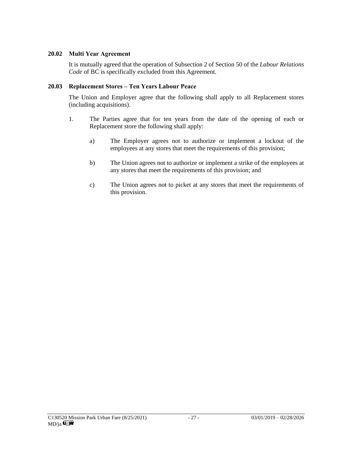#### **20.02 Multi Year Agreement**

It is mutually agreed that the operation of Subsection 2 of Section 50 of the *Labour Relations Code* of BC is specifically excluded from this Agreement.

#### **20.03 Replacement Stores – Ten Years Labour Peace**

The Union and Employer agree that the following shall apply to all Replacement stores (including acquisitions).

- 1. The Parties agree that for ten years from the date of the opening of each or Replacement store the following shall apply:
	- a) The Employer agrees not to authorize or implement a lockout of the employees at any stores that meet the requirements of this provision;
	- b) The Union agrees not to authorize or implement a strike of the employees at any stores that meet the requirements of this provision; and
	- c) The Union agrees not to picket at any stores that meet the requirements of this provision.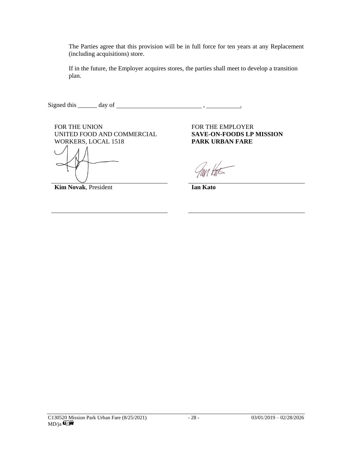The Parties agree that this provision will be in full force for ten years at any Replacement (including acquisitions) store.

If in the future, the Employer acquires stores, the parties shall meet to develop a transition plan.

Signed this \_\_\_\_\_\_ day of , .

FOR THE UNION FOR THE EMPLOYER UNITED FOOD AND COMMERCIAL WORKERS, LOCAL 1518

**Kim Novak**, President **Ian Kato** 

**SAVE-ON-FOODS LP MISSION PARK URBAN FARE**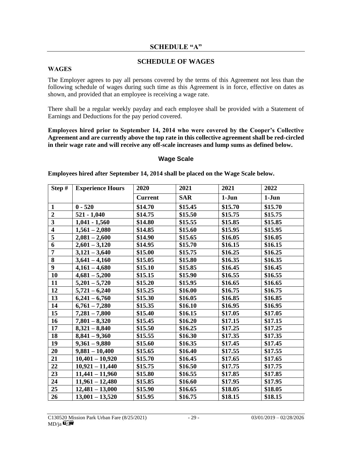#### **SCHEDULE "A"**

#### **SCHEDULE OF WAGES**

#### **WAGES**

The Employer agrees to pay all persons covered by the terms of this Agreement not less than the following schedule of wages during such time as this Agreement is in force, effective on dates as shown, and provided that an employee is receiving a wage rate.

There shall be a regular weekly payday and each employee shall be provided with a Statement of Earnings and Deductions for the pay period covered.

**Employees hired prior to September 14, 2014 who were covered by the Cooper's Collective Agreement and are currently above the top rate in this collective agreement shall be red-circled in their wage rate and will receive any off-scale increases and lump sums as defined below.**

#### **Wage Scale**

**Employees hired after September 14, 2014 shall be placed on the Wage Scale below.**

| Step $#$                | <b>Experience Hours</b> | 2020           | 2021       | 2021     | 2022     |
|-------------------------|-------------------------|----------------|------------|----------|----------|
|                         |                         | <b>Current</b> | <b>SAR</b> | $1-J$ un | $1-J$ un |
| $\mathbf{1}$            | $0 - 520$               | \$14.70        | \$15.45    | \$15.70  | \$15.70  |
| $\boldsymbol{2}$        | $521 - 1,040$           | \$14.75        | \$15.50    | \$15.75  | \$15.75  |
| $\overline{\mathbf{3}}$ | $1,041 - 1,560$         | \$14.80        | \$15.55    | \$15.85  | \$15.85  |
| $\overline{\mathbf{4}}$ | $1,561 - 2,080$         | \$14.85        | \$15.60    | \$15.95  | \$15.95  |
| $\overline{5}$          | $2,081 - 2,600$         | \$14.90        | \$15.65    | \$16.05  | \$16.05  |
| 6                       | $2,601 - 3,120$         | \$14.95        | \$15.70    | \$16.15  | \$16.15  |
| $\overline{7}$          | $3,121 - 3,640$         | \$15.00        | \$15.75    | \$16.25  | \$16.25  |
| 8                       | $3,641 - 4,160$         | \$15.05        | \$15.80    | \$16.35  | \$16.35  |
| $\boldsymbol{9}$        | $4,161 - 4,680$         | \$15.10        | \$15.85    | \$16.45  | \$16.45  |
| 10                      | $4,681 - 5,200$         | \$15.15        | \$15.90    | \$16.55  | \$16.55  |
| 11                      | $5,201 - 5,720$         | \$15.20        | \$15.95    | \$16.65  | \$16.65  |
| 12                      | $5,721 - 6,240$         | \$15.25        | \$16.00    | \$16.75  | \$16.75  |
| 13                      | $6,241 - 6,760$         | \$15.30        | \$16.05    | \$16.85  | \$16.85  |
| 14                      | $6,761 - 7,280$         | \$15.35        | \$16.10    | \$16.95  | \$16.95  |
| 15                      | $7,281 - 7,800$         | \$15.40        | \$16.15    | \$17.05  | \$17.05  |
| 16                      | $7,801 - 8,320$         | \$15.45        | \$16.20    | \$17.15  | \$17.15  |
| 17                      | $8,321 - 8,840$         | \$15.50        | \$16.25    | \$17.25  | \$17.25  |
| 18                      | $8,841 - 9,360$         | \$15.55        | \$16.30    | \$17.35  | \$17.35  |
| 19                      | $9,361 - 9,880$         | \$15.60        | \$16.35    | \$17.45  | \$17.45  |
| 20                      | $9,881 - 10,400$        | \$15.65        | \$16.40    | \$17.55  | \$17.55  |
| 21                      | $10,401 - 10,920$       | \$15.70        | \$16.45    | \$17.65  | \$17.65  |
| 22                      | $10,921 - 11,440$       | \$15.75        | \$16.50    | \$17.75  | \$17.75  |
| 23                      | $11,441 - 11,960$       | \$15.80        | \$16.55    | \$17.85  | \$17.85  |
| 24                      | $11,961 - 12,480$       | \$15.85        | \$16.60    | \$17.95  | \$17.95  |
| 25                      | $12,481 - 13,000$       | \$15.90        | \$16.65    | \$18.05  | \$18.05  |
| 26                      | $13,001 - 13,520$       | \$15.95        | \$16.75    | \$18.15  | \$18.15  |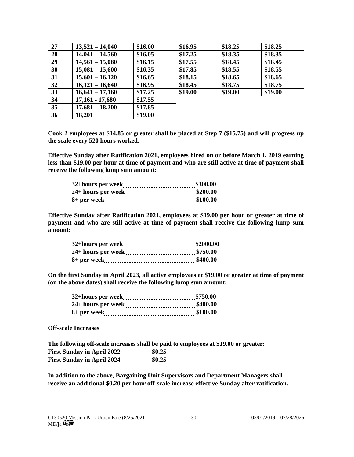| 27 | $13,521 - 14,040$ | \$16.00 | \$16.95 | \$18.25 | \$18.25 |
|----|-------------------|---------|---------|---------|---------|
| 28 | $14,041 - 14,560$ | \$16.05 | \$17.25 | \$18.35 | \$18.35 |
| 29 | $14,561 - 15,080$ | \$16.15 | \$17.55 | \$18.45 | \$18.45 |
| 30 | $15,081 - 15,600$ | \$16.35 | \$17.85 | \$18.55 | \$18.55 |
| 31 | $15,601 - 16,120$ | \$16.65 | \$18.15 | \$18.65 | \$18.65 |
| 32 | $16,121 - 16,640$ | \$16.95 | \$18.45 | \$18.75 | \$18.75 |
| 33 | $16,641 - 17,160$ | \$17.25 | \$19.00 | \$19.00 | \$19.00 |
| 34 | $17,161 - 17,680$ | \$17.55 |         |         |         |
| 35 | $17,681 - 18,200$ | \$17.85 |         |         |         |
| 36 | $18,201+$         | \$19.00 |         |         |         |

**Cook 2 employees at \$14.85 or greater shall be placed at Step 7 (\$15.75) and will progress up the scale every 520 hours worked.** 

**Effective Sunday after Ratification 2021, employees hired on or before March 1, 2019 earning less than \$19.00 per hour at time of payment and who are still active at time of payment shall receive the following lump sum amount:**

**Effective Sunday after Ratification 2021, employees at \$19.00 per hour or greater at time of payment and who are still active at time of payment shall receive the following lump sum amount:**

**On the first Sunday in April 2023, all active employees at \$19.00 or greater at time of payment (on the above dates) shall receive the following lump sum amount:**

**Off-scale Increases**

**The following off-scale increases shall be paid to employees at \$19.00 or greater: First Sunday in April 2022 \$0.25 First Sunday in April 2024 \$0.25**

**In addition to the above, Bargaining Unit Supervisors and Department Managers shall receive an additional \$0.20 per hour off-scale increase effective Sunday after ratification.**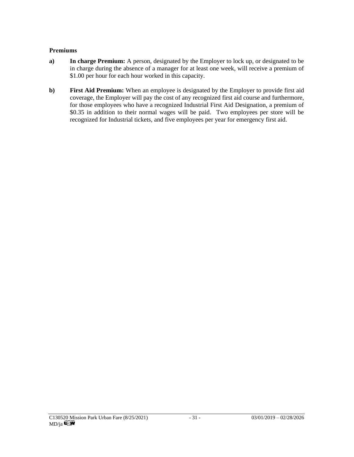#### **Premiums**

- **a) In charge Premium:** A person, designated by the Employer to lock up, or designated to be in charge during the absence of a manager for at least one week, will receive a premium of \$1.00 per hour for each hour worked in this capacity.
- **b**) **First Aid Premium:** When an employee is designated by the Employer to provide first aid coverage, the Employer will pay the cost of any recognized first aid course and furthermore, for those employees who have a recognized Industrial First Aid Designation, a premium of \$0.35 in addition to their normal wages will be paid. Two employees per store will be recognized for Industrial tickets, and five employees per year for emergency first aid.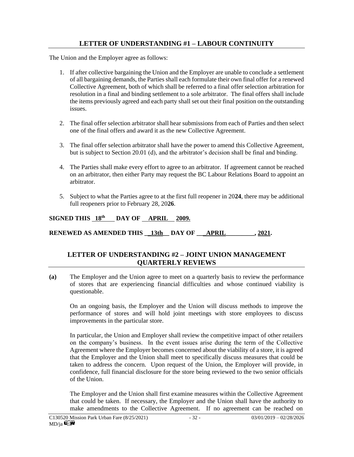## **LETTER OF UNDERSTANDING #1 – LABOUR CONTINUITY**

The Union and the Employer agree as follows:

- 1. If after collective bargaining the Union and the Employer are unable to conclude a settlement of all bargaining demands, the Parties shall each formulate their own final offer for a renewed Collective Agreement, both of which shall be referred to a final offer selection arbitration for resolution in a final and binding settlement to a sole arbitrator. The final offers shall include the items previously agreed and each party shall set out their final position on the outstanding issues.
- 2. The final offer selection arbitrator shall hear submissions from each of Parties and then select one of the final offers and award it as the new Collective Agreement.
- 3. The final offer selection arbitrator shall have the power to amend this Collective Agreement, but is subject to Section 20.01 (d), and the arbitrator's decision shall be final and binding.
- 4. The Parties shall make every effort to agree to an arbitrator. If agreement cannot be reached on an arbitrator, then either Party may request the BC Labour Relations Board to appoint an arbitrator.
- 5. Subject to what the Parties agree to at the first full reopener in 20**24**, there may be additional full reopeners prior to February 28, 20**26**.

#### **SIGNED THIS 18th DAY OF APRIL 2009.**

**RENEWED AS AMENDED THIS \_\_13th \_\_DAY OF \_\_\_APRIL\_\_\_\_\_\_\_\_, 2021.** 

#### **LETTER OF UNDERSTANDING #2 – JOINT UNION MANAGEMENT QUARTERLY REVIEWS**

**(a)** The Employer and the Union agree to meet on a quarterly basis to review the performance of stores that are experiencing financial difficulties and whose continued viability is questionable.

On an ongoing basis, the Employer and the Union will discuss methods to improve the performance of stores and will hold joint meetings with store employees to discuss improvements in the particular store.

In particular, the Union and Employer shall review the competitive impact of other retailers on the company's business. In the event issues arise during the term of the Collective Agreement where the Employer becomes concerned about the viability of a store, it is agreed that the Employer and the Union shall meet to specifically discuss measures that could be taken to address the concern. Upon request of the Union, the Employer will provide, in confidence, full financial disclosure for the store being reviewed to the two senior officials of the Union.

The Employer and the Union shall first examine measures within the Collective Agreement that could be taken. If necessary, the Employer and the Union shall have the authority to make amendments to the Collective Agreement. If no agreement can be reached on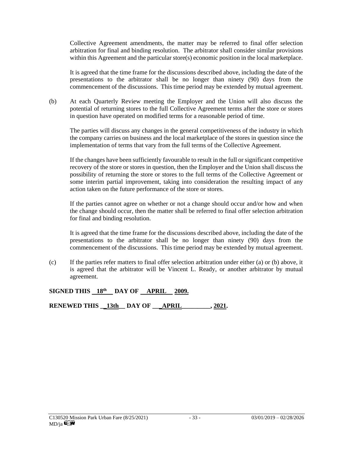Collective Agreement amendments, the matter may be referred to final offer selection arbitration for final and binding resolution. The arbitrator shall consider similar provisions within this Agreement and the particular store(s) economic position in the local marketplace.

It is agreed that the time frame for the discussions described above, including the date of the presentations to the arbitrator shall be no longer than ninety (90) days from the commencement of the discussions. This time period may be extended by mutual agreement.

(b) At each Quarterly Review meeting the Employer and the Union will also discuss the potential of returning stores to the full Collective Agreement terms after the store or stores in question have operated on modified terms for a reasonable period of time.

The parties will discuss any changes in the general competitiveness of the industry in which the company carries on business and the local marketplace of the stores in question since the implementation of terms that vary from the full terms of the Collective Agreement.

If the changes have been sufficiently favourable to result in the full or significant competitive recovery of the store or stores in question, then the Employer and the Union shall discuss the possibility of returning the store or stores to the full terms of the Collective Agreement or some interim partial improvement, taking into consideration the resulting impact of any action taken on the future performance of the store or stores.

If the parties cannot agree on whether or not a change should occur and/or how and when the change should occur, then the matter shall be referred to final offer selection arbitration for final and binding resolution.

It is agreed that the time frame for the discussions described above, including the date of the presentations to the arbitrator shall be no longer than ninety (90) days from the commencement of the discussions. This time period may be extended by mutual agreement.

(c) If the parties refer matters to final offer selection arbitration under either (a) or (b) above, it is agreed that the arbitrator will be Vincent L. Ready, or another arbitrator by mutual agreement.

#### **SIGNED THIS 18th DAY OF APRIL 2009.**

**RENEWED THIS \_\_13th\_\_ DAY OF \_\_\_APRIL\_\_\_\_\_\_\_\_\_, 2021.**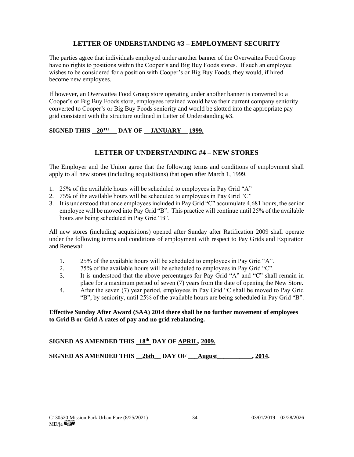## **LETTER OF UNDERSTANDING #3 – EMPLOYMENT SECURITY**

The parties agree that individuals employed under another banner of the Overwaitea Food Group have no rights to positions within the Cooper's and Big Buy Foods stores. If such an employee wishes to be considered for a position with Cooper's or Big Buy Foods, they would, if hired become new employees.

If however, an Overwaitea Food Group store operating under another banner is converted to a Cooper's or Big Buy Foods store, employees retained would have their current company seniority converted to Cooper's or Big Buy Foods seniority and would be slotted into the appropriate pay grid consistent with the structure outlined in Letter of Understanding #3.

## SIGNED THIS  $20^{\text{TH}}$  DAY OF JANUARY 1999.

#### **LETTER OF UNDERSTANDING #4 – NEW STORES**

The Employer and the Union agree that the following terms and conditions of employment shall apply to all new stores (including acquisitions) that open after March 1, 1999.

- 1. 25% of the available hours will be scheduled to employees in Pay Grid "A"
- 2. 75% of the available hours will be scheduled to employees in Pay Grid "C"
- 3. It is understood that once employees included in Pay Grid "C" accumulate 4,681 hours, the senior employee will be moved into Pay Grid "B". This practice will continue until 25% of the available hours are being scheduled in Pay Grid "B".

All new stores (including acquisitions) opened after Sunday after Ratification 2009 shall operate under the following terms and conditions of employment with respect to Pay Grids and Expiration and Renewal:

- 1. 25% of the available hours will be scheduled to employees in Pay Grid "A".
- 2. 75% of the available hours will be scheduled to employees in Pay Grid "C".
- 3. It is understood that the above percentages for Pay Grid "A" and "C" shall remain in place for a maximum period of seven (7) years from the date of opening the New Store.
- 4. After the seven (7) year period, employees in Pay Grid "C shall be moved to Pay Grid "B", by seniority, until 25% of the available hours are being scheduled in Pay Grid "B".

#### **Effective Sunday After Award (SAA) 2014 there shall be no further movement of employees to Grid B or Grid A rates of pay and no grid rebalancing.**

#### **SIGNED AS AMENDED THIS 18th DAY OF APRIL, 2009.**

SIGNED AS AMENDED THIS 26th DAY OF August 2014.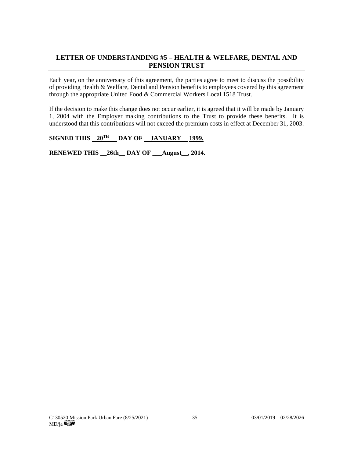### **LETTER OF UNDERSTANDING #5 – HEALTH & WELFARE, DENTAL AND PENSION TRUST**

Each year, on the anniversary of this agreement, the parties agree to meet to discuss the possibility of providing Health & Welfare, Dental and Pension benefits to employees covered by this agreement through the appropriate United Food & Commercial Workers Local 1518 Trust.

If the decision to make this change does not occur earlier, it is agreed that it will be made by January 1, 2004 with the Employer making contributions to the Trust to provide these benefits. It is understood that this contributions will not exceed the premium costs in effect at December 31, 2003.

#### SIGNED THIS  $20^{\text{TH}}$  DAY OF JANUARY 1999.

**RENEWED THIS \_\_26th\_\_ DAY OF \_\_\_August\_\_, 2014.**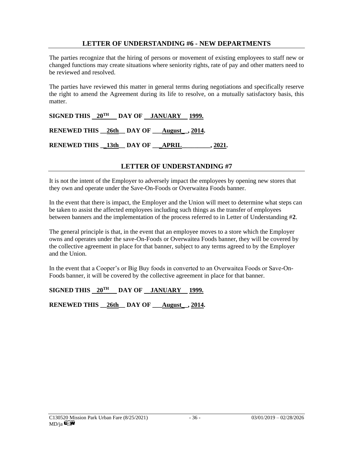#### **LETTER OF UNDERSTANDING #6 - NEW DEPARTMENTS**

The parties recognize that the hiring of persons or movement of existing employees to staff new or changed functions may create situations where seniority rights, rate of pay and other matters need to be reviewed and resolved.

The parties have reviewed this matter in general terms during negotiations and specifically reserve the right to amend the Agreement during its life to resolve, on a mutually satisfactory basis, this matter.

SIGNED THIS  $20^{TH}$  DAY OF JANUARY 1999. **RENEWED THIS \_\_26th\_\_ DAY OF \_\_\_August\_\_, 2014. RENEWED THIS \_\_13th\_\_ DAY OF \_\_\_APRIL\_\_\_\_\_\_\_\_\_, 2021.**

#### **LETTER OF UNDERSTANDING #7**

It is not the intent of the Employer to adversely impact the employees by opening new stores that they own and operate under the Save-On-Foods or Overwaitea Foods banner.

In the event that there is impact, the Employer and the Union will meet to determine what steps can be taken to assist the affected employees including such things as the transfer of employees between banners and the implementation of the process referred to in Letter of Understanding #**2**.

The general principle is that, in the event that an employee moves to a store which the Employer owns and operates under the save-On-Foods or Overwaitea Foods banner, they will be covered by the collective agreement in place for that banner, subject to any terms agreed to by the Employer and the Union.

In the event that a Cooper's or Big Buy foods in converted to an Overwaitea Foods or Save-On-Foods banner, it will be covered by the collective agreement in place for that banner.

#### **SIGNED THIS 20TH DAY OF JANUARY 1999.**

**RENEWED THIS \_\_26th\_\_ DAY OF \_\_\_August\_\_, 2014.**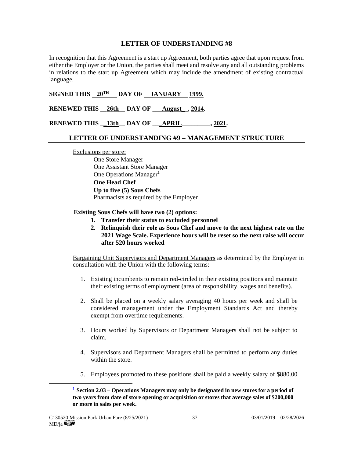#### **LETTER OF UNDERSTANDING #8**

In recognition that this Agreement is a start up Agreement, both parties agree that upon request from either the Employer or the Union, the parties shall meet and resolve any and all outstanding problems in relations to the start up Agreement which may include the amendment of existing contractual language.

SIGNED THIS  $20^{TH}$  DAY OF JANUARY 1999.

RENEWED THIS 26th DAY OF August , 2014.

**RENEWED THIS \_\_13th\_\_ DAY OF \_\_\_APRIL\_\_\_\_\_\_\_\_\_, 2021.**

#### **LETTER OF UNDERSTANDING #9 – MANAGEMENT STRUCTURE**

Exclusions per store:

One Store Manager One Assistant Store Manager One Operations Manager $<sup>1</sup>$ </sup> **One Head Chef Up to five (5) Sous Chefs** Pharmacists as required by the Employer

**Existing Sous Chefs will have two (2) options:**

- **1. Transfer their status to excluded personnel**
- **2. Relinquish their role as Sous Chef and move to the next highest rate on the 2021 Wage Scale. Experience hours will be reset so the next raise will occur after 520 hours worked**

Bargaining Unit Supervisors and Department Managers as determined by the Employer in consultation with the Union with the following terms:

- 1. Existing incumbents to remain red-circled in their existing positions and maintain their existing terms of employment (area of responsibility, wages and benefits).
- 2. Shall be placed on a weekly salary averaging 40 hours per week and shall be considered management under the Employment Standards Act and thereby exempt from overtime requirements.
- 3. Hours worked by Supervisors or Department Managers shall not be subject to claim.
- 4. Supervisors and Department Managers shall be permitted to perform any duties within the store.
- 5. Employees promoted to these positions shall be paid a weekly salary of \$880.00

**<sup>1</sup> Section 2.03 – Operations Managers may only be designated in new stores for a period of two years from date of store opening or acquisition or stores that average sales of \$200,000 or more in sales per week.**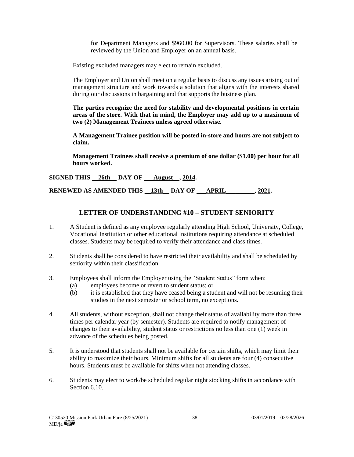for Department Managers and \$960.00 for Supervisors. These salaries shall be reviewed by the Union and Employer on an annual basis.

Existing excluded managers may elect to remain excluded.

The Employer and Union shall meet on a regular basis to discuss any issues arising out of management structure and work towards a solution that aligns with the interests shared during our discussions in bargaining and that supports the business plan.

**The parties recognize the need for stability and developmental positions in certain areas of the store. With that in mind, the Employer may add up to a maximum of two (2) Management Trainees unless agreed otherwise.**

**A Management Trainee position will be posted in-store and hours are not subject to claim.**

**Management Trainees shall receive a premium of one dollar (\$1.00) per hour for all hours worked.** 

**SIGNED THIS \_\_26th\_\_ DAY OF \_\_\_August\_\_, 2014.**

**RENEWED AS AMENDED THIS \_\_13th\_\_ DAY OF \_\_\_APRIL\_\_\_\_\_\_\_\_\_, 2021.**

#### **LETTER OF UNDERSTANDING #10 – STUDENT SENIORITY**

- 1. A Student is defined as any employee regularly attending High School, University, College, Vocational Institution or other educational institutions requiring attendance at scheduled classes. Students may be required to verify their attendance and class times.
- 2. Students shall be considered to have restricted their availability and shall be scheduled by seniority within their classification.
- 3. Employees shall inform the Employer using the "Student Status" form when:
	- (a) employees become or revert to student status; or
	- (b) it is established that they have ceased being a student and will not be resuming their studies in the next semester or school term, no exceptions.
- 4. All students, without exception, shall not change their status of availability more than three times per calendar year (by semester). Students are required to notify management of changes to their availability, student status or restrictions no less than one (1) week in advance of the schedules being posted.
- 5. It is understood that students shall not be available for certain shifts, which may limit their ability to maximize their hours. Minimum shifts for all students are four (4) consecutive hours. Students must be available for shifts when not attending classes.
- 6. Students may elect to work/be scheduled regular night stocking shifts in accordance with Section 6.10.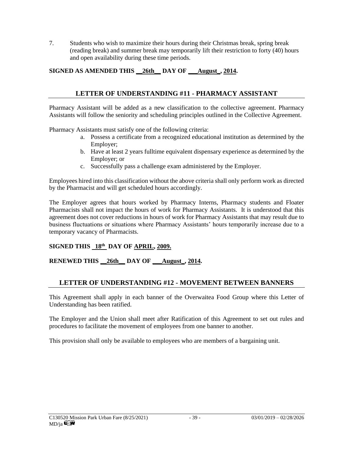7. Students who wish to maximize their hours during their Christmas break, spring break (reading break) and summer break may temporarily lift their restriction to forty (40) hours and open availability during these time periods.

## **SIGNED AS AMENDED THIS \_\_26th\_\_ DAY OF \_\_\_August\_, 2014.**

## **LETTER OF UNDERSTANDING #11 - PHARMACY ASSISTANT**

Pharmacy Assistant will be added as a new classification to the collective agreement. Pharmacy Assistants will follow the seniority and scheduling principles outlined in the Collective Agreement.

Pharmacy Assistants must satisfy one of the following criteria:

- a. Possess a certificate from a recognized educational institution as determined by the Employer;
- b. Have at least 2 years fulltime equivalent dispensary experience as determined by the Employer; or
- c. Successfully pass a challenge exam administered by the Employer.

Employees hired into this classification without the above criteria shall only perform work as directed by the Pharmacist and will get scheduled hours accordingly.

The Employer agrees that hours worked by Pharmacy Interns, Pharmacy students and Floater Pharmacists shall not impact the hours of work for Pharmacy Assistants. It is understood that this agreement does not cover reductions in hours of work for Pharmacy Assistants that may result due to business fluctuations or situations where Pharmacy Assistants' hours temporarily increase due to a temporary vacancy of Pharmacists.

## **SIGNED THIS 18th DAY OF APRIL, 2009.**

## **RENEWED THIS \_\_26th\_\_ DAY OF \_\_\_August\_, 2014.**

## **LETTER OF UNDERSTANDING #12 - MOVEMENT BETWEEN BANNERS**

This Agreement shall apply in each banner of the Overwaitea Food Group where this Letter of Understanding has been ratified.

The Employer and the Union shall meet after Ratification of this Agreement to set out rules and procedures to facilitate the movement of employees from one banner to another.

This provision shall only be available to employees who are members of a bargaining unit.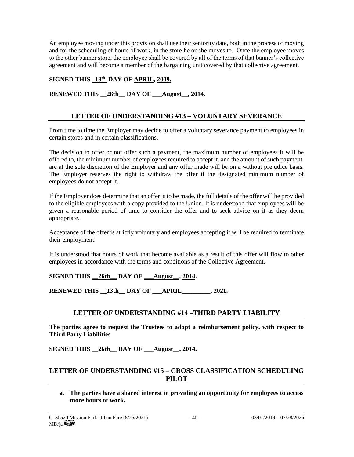An employee moving under this provision shall use their seniority date, both in the process of moving and for the scheduling of hours of work, in the store he or she moves to. Once the employee moves to the other banner store, the employee shall be covered by all of the terms of that banner's collective agreement and will become a member of the bargaining unit covered by that collective agreement.

#### **SIGNED THIS 18th DAY OF APRIL, 2009.**

#### **RENEWED THIS \_\_26th\_\_ DAY OF \_\_\_August\_\_, 2014.**

## **LETTER OF UNDERSTANDING #13 – VOLUNTARY SEVERANCE**

From time to time the Employer may decide to offer a voluntary severance payment to employees in certain stores and in certain classifications.

The decision to offer or not offer such a payment, the maximum number of employees it will be offered to, the minimum number of employees required to accept it, and the amount of such payment, are at the sole discretion of the Employer and any offer made will be on a without prejudice basis. The Employer reserves the right to withdraw the offer if the designated minimum number of employees do not accept it.

If the Employer does determine that an offer is to be made, the full details of the offer will be provided to the eligible employees with a copy provided to the Union. It is understood that employees will be given a reasonable period of time to consider the offer and to seek advice on it as they deem appropriate.

Acceptance of the offer is strictly voluntary and employees accepting it will be required to terminate their employment.

It is understood that hours of work that become available as a result of this offer will flow to other employees in accordance with the terms and conditions of the Collective Agreement.

**SIGNED THIS \_\_26th\_\_ DAY OF \_\_\_August\_\_, 2014.**

**RENEWED THIS \_\_13th\_\_ DAY OF \_\_\_APRIL\_\_\_\_\_\_\_\_\_, 2021.**

#### **LETTER OF UNDERSTANDING #14 –THIRD PARTY LIABILITY**

**The parties agree to request the Trustees to adopt a reimbursement policy, with respect to Third Party Liabilities**

**SIGNED THIS \_\_26th\_\_ DAY OF \_\_\_August\_\_, 2014.**

#### **LETTER OF UNDERSTANDING #15 – CROSS CLASSIFICATION SCHEDULING PILOT**

**a. The parties have a shared interest in providing an opportunity for employees to access more hours of work.**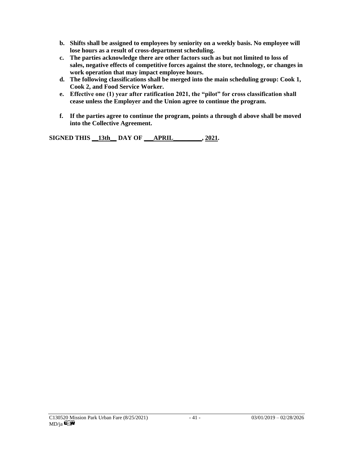- **b. Shifts shall be assigned to employees by seniority on a weekly basis. No employee will lose hours as a result of cross-department scheduling.**
- **c. The parties acknowledge there are other factors such as but not limited to loss of sales, negative effects of competitive forces against the store, technology, or changes in work operation that may impact employee hours.**
- **d. The following classifications shall be merged into the main scheduling group: Cook 1, Cook 2, and Food Service Worker.**
- **e. Effective one (1) year after ratification 2021, the "pilot" for cross classification shall cease unless the Employer and the Union agree to continue the program.**
- **f. If the parties agree to continue the program, points a through d above shall be moved into the Collective Agreement.**

**SIGNED THIS \_\_13th\_\_ DAY OF \_\_\_APRIL\_\_\_\_\_\_\_\_\_, 2021.**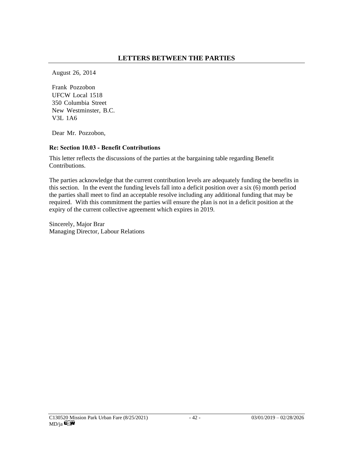August 26, 2014

Frank Pozzobon UFCW Local 1518 350 Columbia Street New Westminster, B.C. V3L 1A6

Dear Mr. Pozzobon,

#### **Re: Section 10.03 - Benefit Contributions**

This letter reflects the discussions of the parties at the bargaining table regarding Benefit Contributions.

The parties acknowledge that the current contribution levels are adequately funding the benefits in this section. In the event the funding levels fall into a deficit position over a six (6) month period the parties shall meet to find an acceptable resolve including any additional funding that may be required. With this commitment the parties will ensure the plan is not in a deficit position at the expiry of the current collective agreement which expires in 2019.

Sincerely, Major Brar Managing Director, Labour Relations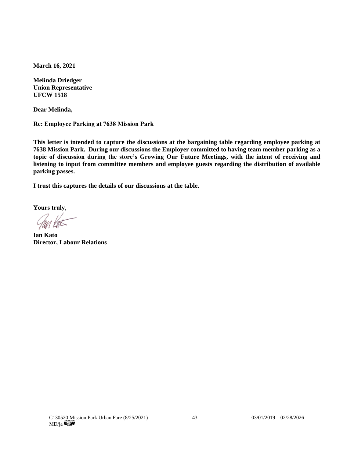**March 16, 2021**

**Melinda Driedger Union Representative UFCW 1518**

**Dear Melinda,** 

**Re: Employee Parking at 7638 Mission Park**

**This letter is intended to capture the discussions at the bargaining table regarding employee parking at 7638 Mission Park. During our discussions the Employer committed to having team member parking as a topic of discussion during the store's Growing Our Future Meetings, with the intent of receiving and listening to input from committee members and employee guests regarding the distribution of available parking passes.** 

**I trust this captures the details of our discussions at the table.**

**Yours truly,** 

**Ian Kato Director, Labour Relations**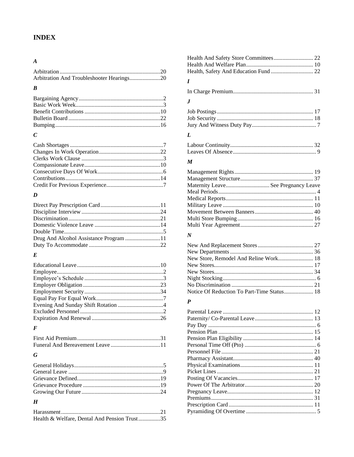## **INDEX**

#### $\boldsymbol{A}$

| Arbitration And Troubleshooter Hearings20 |  |
|-------------------------------------------|--|

#### $\boldsymbol{B}$

## $\boldsymbol{C}$

## $\boldsymbol{D}$

| Drug And Alcohol Assistance Program 11 |  |
|----------------------------------------|--|
|                                        |  |
|                                        |  |

#### $\pmb{E}$

#### $\pmb{F}$

## $\boldsymbol{G}$

#### $\boldsymbol{H}$

| Health & Welfare, Dental And Pension Trust35 |  |
|----------------------------------------------|--|

#### $\boldsymbol{I}$

|--|--|--|--|--|

#### $\pmb{J}$

#### $\boldsymbol{L}$

#### $\boldsymbol{M}$

| Maternity Leave See Pregnancy Leave |  |
|-------------------------------------|--|
|                                     |  |
|                                     |  |
|                                     |  |
|                                     |  |
|                                     |  |
|                                     |  |

#### $\boldsymbol{N}$

#### $\boldsymbol{P}$